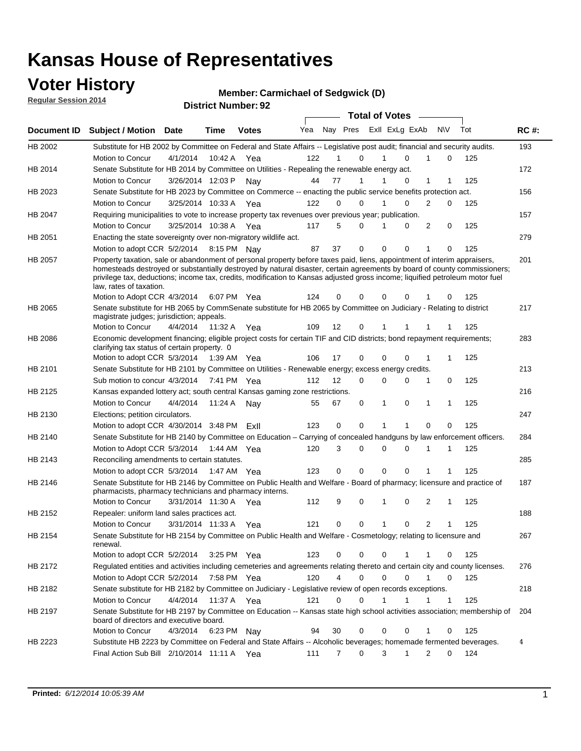### **Voter History**

**Regular Session 2014**

**District Number: Member: Carmichael of Sedgwick (D) 92**

|                    |                                                                                                                                                                                                                                                                                                                                                                                                                  |                       |         | <b>District Number: 92</b> |     |                |             |             |                         |   |           |     |             |
|--------------------|------------------------------------------------------------------------------------------------------------------------------------------------------------------------------------------------------------------------------------------------------------------------------------------------------------------------------------------------------------------------------------------------------------------|-----------------------|---------|----------------------------|-----|----------------|-------------|-------------|-------------------------|---|-----------|-----|-------------|
|                    |                                                                                                                                                                                                                                                                                                                                                                                                                  |                       |         |                            |     |                |             |             | <b>Total of Votes</b>   |   |           |     |             |
| <b>Document ID</b> | <b>Subject / Motion Date</b>                                                                                                                                                                                                                                                                                                                                                                                     |                       | Time    | <b>Votes</b>               | Yea |                |             |             | Nay Pres ExII ExLg ExAb |   | <b>NV</b> | Tot | <b>RC#:</b> |
| HB 2002            | Substitute for HB 2002 by Committee on Federal and State Affairs -- Legislative post audit; financial and security audits.                                                                                                                                                                                                                                                                                       |                       |         |                            |     |                |             |             |                         |   |           |     | 193         |
|                    | Motion to Concur                                                                                                                                                                                                                                                                                                                                                                                                 | 4/1/2014              |         | 10:42 A Yea                | 122 |                | 0           | 1           | 0                       | 1 | 0         | 125 |             |
| HB 2014            | Senate Substitute for HB 2014 by Committee on Utilities - Repealing the renewable energy act.                                                                                                                                                                                                                                                                                                                    |                       |         |                            |     |                |             |             |                         |   |           |     | 172         |
|                    | Motion to Concur                                                                                                                                                                                                                                                                                                                                                                                                 | 3/26/2014 12:03 P     |         | Nav                        | 44  | 77             | 1           |             | 0                       | 1 | 1         | 125 |             |
| HB 2023            | Senate Substitute for HB 2023 by Committee on Commerce -- enacting the public service benefits protection act.                                                                                                                                                                                                                                                                                                   |                       |         |                            |     |                |             |             |                         |   |           |     | 156         |
|                    | Motion to Concur                                                                                                                                                                                                                                                                                                                                                                                                 | 3/25/2014 10:33 A     |         | Yea                        | 122 | 0              | 0           | 1           | 0                       | 2 | 0         | 125 |             |
| HB 2047            | Requiring municipalities to vote to increase property tax revenues over previous year; publication.                                                                                                                                                                                                                                                                                                              |                       |         |                            |     |                |             |             |                         |   |           |     | 157         |
|                    | Motion to Concur                                                                                                                                                                                                                                                                                                                                                                                                 | 3/25/2014 10:38 A Yea |         |                            | 117 | 5              | 0           |             | 0                       | 2 | 0         | 125 |             |
| HB 2051            | Enacting the state sovereignty over non-migratory wildlife act.                                                                                                                                                                                                                                                                                                                                                  |                       |         |                            |     |                |             |             |                         |   |           |     | 279         |
|                    | Motion to adopt CCR 5/2/2014 8:15 PM Nav                                                                                                                                                                                                                                                                                                                                                                         |                       |         |                            | 87  | 37             | $\mathbf 0$ | $\mathbf 0$ | 0                       | 1 | 0         | 125 |             |
| HB 2057            | Property taxation, sale or abandonment of personal property before taxes paid, liens, appointment of interim appraisers,<br>homesteads destroyed or substantially destroyed by natural disaster, certain agreements by board of county commissioners;<br>privilege tax, deductions; income tax, credits, modification to Kansas adjusted gross income; liquified petroleum motor fuel<br>law, rates of taxation. |                       |         |                            | 124 | 0              | 0           | 0           | 0                       |   | 0         | 125 | 201         |
|                    | Motion to Adopt CCR 4/3/2014 6:07 PM Yea                                                                                                                                                                                                                                                                                                                                                                         |                       |         |                            |     |                |             |             |                         |   |           |     |             |
| HB 2065            | Senate substitute for HB 2065 by CommSenate substitute for HB 2065 by Committee on Judiciary - Relating to district<br>magistrate judges; jurisdiction; appeals.                                                                                                                                                                                                                                                 |                       |         |                            |     |                |             |             |                         |   |           |     | 217         |
|                    | Motion to Concur                                                                                                                                                                                                                                                                                                                                                                                                 | 4/4/2014              | 11:32 A | Yea                        | 109 | 12             | 0           | 1           |                         |   |           | 125 |             |
| HB 2086            | Economic development financing; eligible project costs for certain TIF and CID districts; bond repayment requirements;<br>clarifying tax status of certain property. 0                                                                                                                                                                                                                                           |                       |         |                            |     |                |             |             |                         |   |           |     | 283         |
|                    | Motion to adopt CCR 5/3/2014 1:39 AM Yea                                                                                                                                                                                                                                                                                                                                                                         |                       |         |                            | 106 | 17             | 0           | 0           | 0                       | 1 | 1         | 125 |             |
| HB 2101            | Senate Substitute for HB 2101 by Committee on Utilities - Renewable energy; excess energy credits.                                                                                                                                                                                                                                                                                                               |                       |         |                            |     |                |             |             |                         |   |           |     | 213         |
|                    | Sub motion to concur 4/3/2014 7:41 PM                                                                                                                                                                                                                                                                                                                                                                            |                       |         | Yea                        | 112 | 12             | 0           | $\Omega$    | 0                       | 1 | 0         | 125 |             |
| HB 2125            | Kansas expanded lottery act; south central Kansas gaming zone restrictions.                                                                                                                                                                                                                                                                                                                                      |                       |         |                            |     |                |             |             |                         |   |           |     | 216         |
|                    | Motion to Concur                                                                                                                                                                                                                                                                                                                                                                                                 | 4/4/2014              | 11:24 A | Nav                        | 55  | 67             | 0           | 1           | 0                       | 1 | 1         | 125 |             |
| HB 2130            | Elections; petition circulators.                                                                                                                                                                                                                                                                                                                                                                                 |                       |         |                            |     |                |             |             |                         |   |           |     | 247         |
|                    | Motion to adopt CCR $4/30/2014$ 3:48 PM                                                                                                                                                                                                                                                                                                                                                                          |                       |         | ExII                       | 123 | 0              | $\mathbf 0$ | 1           | 1                       | 0 | 0         | 125 |             |
| HB 2140            | Senate Substitute for HB 2140 by Committee on Education - Carrying of concealed handguns by law enforcement officers.                                                                                                                                                                                                                                                                                            |                       |         |                            |     |                |             |             |                         |   |           |     | 284         |
|                    | Motion to Adopt CCR 5/3/2014 1:44 AM Yea                                                                                                                                                                                                                                                                                                                                                                         |                       |         |                            | 120 | 3              | 0           | 0           | 0                       |   | 1         | 125 |             |
| HB 2143            | Reconciling amendments to certain statutes.                                                                                                                                                                                                                                                                                                                                                                      |                       |         |                            |     |                |             |             |                         |   |           |     | 285         |
|                    | Motion to adopt CCR 5/3/2014                                                                                                                                                                                                                                                                                                                                                                                     |                       |         | 1:47 AM Yea                | 123 | 0              | 0           | 0           | 0                       | 1 | 1         | 125 |             |
| HB 2146            | Senate Substitute for HB 2146 by Committee on Public Health and Welfare - Board of pharmacy; licensure and practice of<br>pharmacists, pharmacy technicians and pharmacy interns.                                                                                                                                                                                                                                |                       |         |                            |     |                |             |             |                         |   |           |     | 187         |
|                    | Motion to Concur                                                                                                                                                                                                                                                                                                                                                                                                 | 3/31/2014 11:30 A     |         | Yea                        | 112 | 9              | 0           | 1           | 0                       | 2 | 1         | 125 |             |
| HB 2152            | Repealer: uniform land sales practices act.                                                                                                                                                                                                                                                                                                                                                                      |                       |         |                            |     |                |             |             |                         |   |           |     | 188         |
|                    | Motion to Concur                                                                                                                                                                                                                                                                                                                                                                                                 | 3/31/2014 11:33 A     |         | Yea                        | 121 | 0              | 0           | 1           | 0                       | 2 | 1         | 125 |             |
| HB 2154            | Senate Substitute for HB 2154 by Committee on Public Health and Welfare - Cosmetology; relating to licensure and<br>renewal.                                                                                                                                                                                                                                                                                     |                       |         |                            |     |                |             |             |                         |   |           |     | 267         |
|                    | Motion to adopt CCR 5/2/2014                                                                                                                                                                                                                                                                                                                                                                                     |                       |         | 3:25 PM Yea                | 123 | 0              | 0           | 0           | 1                       | 1 | 0         | 125 |             |
| HB 2172            | Regulated entities and activities including cemeteries and agreements relating thereto and certain city and county licenses.                                                                                                                                                                                                                                                                                     |                       |         |                            |     |                |             |             |                         |   |           |     | 276         |
|                    | Motion to Adopt CCR 5/2/2014                                                                                                                                                                                                                                                                                                                                                                                     |                       |         | 7:58 PM Yea                | 120 | 4              | 0           | 0           | 0                       | 1 | 0         | 125 |             |
| HB 2182            | Senate substitute for HB 2182 by Committee on Judiciary - Legislative review of open records exceptions.                                                                                                                                                                                                                                                                                                         |                       |         |                            |     |                |             |             |                         |   |           |     | 218         |
|                    | Motion to Concur                                                                                                                                                                                                                                                                                                                                                                                                 | 4/4/2014              |         | 11:37 A Yea                | 121 | 0              | 0           | 1           | 1                       | 1 | 1         | 125 |             |
| HB 2197            | Senate Substitute for HB 2197 by Committee on Education -- Kansas state high school activities association; membership of<br>board of directors and executive board.                                                                                                                                                                                                                                             |                       |         |                            |     |                |             |             |                         |   |           |     | 204         |
|                    | Motion to Concur                                                                                                                                                                                                                                                                                                                                                                                                 | 4/3/2014 6:23 PM Nay  |         |                            | 94  | 30             | 0           | 0           | 0                       |   | 0         | 125 |             |
| HB 2223            | Substitute HB 2223 by Committee on Federal and State Affairs -- Alcoholic beverages; homemade fermented beverages.                                                                                                                                                                                                                                                                                               |                       |         |                            |     |                |             |             |                         |   |           |     | 4           |
|                    | Final Action Sub Bill 2/10/2014 11:11 A Yea                                                                                                                                                                                                                                                                                                                                                                      |                       |         |                            | 111 | $\overline{7}$ | 0           | 3           | 1                       | 2 | 0         | 124 |             |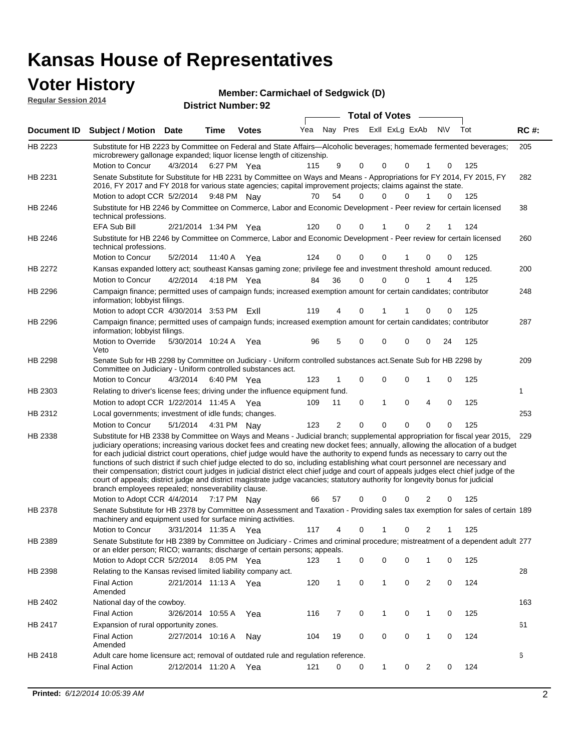| <b>Voter History</b><br><b>Regular Session 2014</b> |                                                                                                                                                                                                                                                                                                                                                                                                                                                                                                                                                                                                                                                                                                                                                                                                                                                                                                         |                       |             | <b>Member: Carmichael of Sedgwick (D)</b><br><b>District Number: 92</b> |     |    |                         |                       |              |             |          |             |     |             |
|-----------------------------------------------------|---------------------------------------------------------------------------------------------------------------------------------------------------------------------------------------------------------------------------------------------------------------------------------------------------------------------------------------------------------------------------------------------------------------------------------------------------------------------------------------------------------------------------------------------------------------------------------------------------------------------------------------------------------------------------------------------------------------------------------------------------------------------------------------------------------------------------------------------------------------------------------------------------------|-----------------------|-------------|-------------------------------------------------------------------------|-----|----|-------------------------|-----------------------|--------------|-------------|----------|-------------|-----|-------------|
|                                                     |                                                                                                                                                                                                                                                                                                                                                                                                                                                                                                                                                                                                                                                                                                                                                                                                                                                                                                         |                       |             |                                                                         |     |    |                         | <b>Total of Votes</b> |              |             |          |             |     |             |
| <b>Document ID</b>                                  | <b>Subject / Motion Date</b>                                                                                                                                                                                                                                                                                                                                                                                                                                                                                                                                                                                                                                                                                                                                                                                                                                                                            |                       | Time        | <b>Votes</b>                                                            | Yea |    | Nay Pres ExII ExLg ExAb |                       |              |             |          | <b>NV</b>   | Tot | <b>RC#:</b> |
| <b>HB 2223</b>                                      | Substitute for HB 2223 by Committee on Federal and State Affairs—Alcoholic beverages; homemade fermented beverages;<br>microbrewery gallonage expanded; liquor license length of citizenship.<br>Motion to Concur                                                                                                                                                                                                                                                                                                                                                                                                                                                                                                                                                                                                                                                                                       | 4/3/2014              | 6:27 PM Yea |                                                                         | 115 |    | 9                       | 0                     | 0            | $\mathbf 0$ | 1        | 0           | 125 | 205         |
| HB 2231                                             | Senate Substitute for Substitute for HB 2231 by Committee on Ways and Means - Appropriations for FY 2014, FY 2015, FY<br>2016, FY 2017 and FY 2018 for various state agencies; capital improvement projects; claims against the state.                                                                                                                                                                                                                                                                                                                                                                                                                                                                                                                                                                                                                                                                  |                       |             |                                                                         |     |    |                         | 0                     |              | $\Omega$    | 1        |             |     | 282         |
| HB 2246                                             | Motion to adopt CCR 5/2/2014<br>Substitute for HB 2246 by Committee on Commerce, Labor and Economic Development - Peer review for certain licensed<br>technical professions.                                                                                                                                                                                                                                                                                                                                                                                                                                                                                                                                                                                                                                                                                                                            |                       |             | 9:48 PM Nav                                                             | 70  | 54 |                         |                       | 0            |             |          | 0           | 125 | 38          |
| HB 2246                                             | <b>EFA Sub Bill</b><br>Substitute for HB 2246 by Committee on Commerce, Labor and Economic Development - Peer review for certain licensed<br>technical professions.                                                                                                                                                                                                                                                                                                                                                                                                                                                                                                                                                                                                                                                                                                                                     | 2/21/2014 1:34 PM Yea |             |                                                                         | 120 |    | $\Omega$                | 0                     | 1            | $\Omega$    | 2        | 1           | 124 | 260         |
|                                                     | Motion to Concur                                                                                                                                                                                                                                                                                                                                                                                                                                                                                                                                                                                                                                                                                                                                                                                                                                                                                        | 5/2/2014              | 11:40 A     | Yea                                                                     | 124 |    | $\Omega$                | 0                     | $\mathbf{0}$ | 1           | $\Omega$ | $\Omega$    | 125 |             |
| HB 2272                                             | Kansas expanded lottery act; southeast Kansas gaming zone; privilege fee and investment threshold amount reduced.<br>Motion to Concur                                                                                                                                                                                                                                                                                                                                                                                                                                                                                                                                                                                                                                                                                                                                                                   | 4/2/2014              |             | 4:18 PM Yea                                                             | 84  | 36 |                         | 0                     | 0            | $\mathbf 0$ | 1        | 4           | 125 | 200         |
| HB 2296                                             | Campaign finance; permitted uses of campaign funds; increased exemption amount for certain candidates; contributor<br>information; lobbyist filings.                                                                                                                                                                                                                                                                                                                                                                                                                                                                                                                                                                                                                                                                                                                                                    |                       |             |                                                                         |     |    |                         |                       |              |             |          |             |     | 248         |
|                                                     | Motion to adopt CCR 4/30/2014 3:53 PM ExII                                                                                                                                                                                                                                                                                                                                                                                                                                                                                                                                                                                                                                                                                                                                                                                                                                                              |                       |             |                                                                         | 119 |    | 4                       | 0                     | 1            | 1           | 0        | $\Omega$    | 125 |             |
| HB 2296                                             | Campaign finance; permitted uses of campaign funds; increased exemption amount for certain candidates; contributor<br>information; lobbyist filings.                                                                                                                                                                                                                                                                                                                                                                                                                                                                                                                                                                                                                                                                                                                                                    |                       |             |                                                                         |     |    |                         |                       |              |             |          |             |     | 287         |
|                                                     | Motion to Override<br>Veto                                                                                                                                                                                                                                                                                                                                                                                                                                                                                                                                                                                                                                                                                                                                                                                                                                                                              | 5/30/2014 10:24 A     |             | Yea                                                                     | 96  |    | 5                       | $\Omega$              | 0            | $\mathbf 0$ | 0        | 24          | 125 |             |
| HB 2298                                             | Senate Sub for HB 2298 by Committee on Judiciary - Uniform controlled substances act. Senate Sub for HB 2298 by<br>Committee on Judiciary - Uniform controlled substances act.                                                                                                                                                                                                                                                                                                                                                                                                                                                                                                                                                                                                                                                                                                                          |                       |             |                                                                         |     |    |                         |                       |              |             |          |             |     | 209         |
|                                                     | Motion to Concur                                                                                                                                                                                                                                                                                                                                                                                                                                                                                                                                                                                                                                                                                                                                                                                                                                                                                        | 4/3/2014              |             | 6:40 PM Yea                                                             | 123 |    |                         | $\Omega$              | $\Omega$     | $\mathbf 0$ | 1        | $\mathbf 0$ | 125 |             |
| HB 2303                                             | Relating to driver's license fees; driving under the influence equipment fund.                                                                                                                                                                                                                                                                                                                                                                                                                                                                                                                                                                                                                                                                                                                                                                                                                          |                       |             |                                                                         |     |    |                         |                       |              |             |          |             |     | 1           |
|                                                     | Motion to adopt CCR 1/22/2014 11:45 A Yea                                                                                                                                                                                                                                                                                                                                                                                                                                                                                                                                                                                                                                                                                                                                                                                                                                                               |                       |             |                                                                         | 109 | 11 |                         | $\mathbf 0$           | $\mathbf{1}$ | $\mathbf 0$ | 4        | $\mathbf 0$ | 125 |             |
| HB 2312                                             | Local governments; investment of idle funds; changes.                                                                                                                                                                                                                                                                                                                                                                                                                                                                                                                                                                                                                                                                                                                                                                                                                                                   |                       |             |                                                                         |     |    |                         |                       |              |             |          |             |     | 253         |
|                                                     | Motion to Concur                                                                                                                                                                                                                                                                                                                                                                                                                                                                                                                                                                                                                                                                                                                                                                                                                                                                                        | 5/1/2014              |             | 4:31 PM Nav                                                             | 123 |    | $\overline{2}$          | $\Omega$              | $\Omega$     | $\Omega$    | $\Omega$ | $\Omega$    | 125 |             |
| HB 2338                                             | Substitute for HB 2338 by Committee on Ways and Means - Judicial branch; supplemental appropriation for fiscal year 2015, 229<br>judiciary operations; increasing various docket fees and creating new docket fees; annually, allowing the allocation of a budget<br>for each judicial district court operations, chief judge would have the authority to expend funds as necessary to carry out the<br>functions of such district if such chief judge elected to do so, including establishing what court personnel are necessary and<br>their compensation; district court judges in judicial district elect chief judge and court of appeals judges elect chief judge of the<br>court of appeals; district judge and district magistrate judge vacancies; statutory authority for longevity bonus for judicial<br>branch employees repealed; nonseverability clause.<br>Motion to Adopt CCR 4/4/2014 |                       |             | 7:17 PM Nay                                                             | 66  | 57 |                         | $\Omega$              | 0            | $\Omega$    | 2        | $\Omega$    | 125 |             |
| HB 2378                                             | Senate Substitute for HB 2378 by Committee on Assessment and Taxation - Providing sales tax exemption for sales of certain 189                                                                                                                                                                                                                                                                                                                                                                                                                                                                                                                                                                                                                                                                                                                                                                          |                       |             |                                                                         |     |    |                         |                       |              |             |          |             |     |             |
|                                                     | machinery and equipment used for surface mining activities.                                                                                                                                                                                                                                                                                                                                                                                                                                                                                                                                                                                                                                                                                                                                                                                                                                             |                       |             |                                                                         |     |    |                         |                       |              |             |          |             |     |             |

3/31/2014 Motion to Concur Yea 125 11:35 A 117 4 0 0 21 1 Senate Substitute for HB 2389 by Committee on Judiciary - Crimes and criminal procedure; mistreatment of a dependent adult 277 Motion to Adopt CCR 5/2/2014 8:05 PM Yea 123 1 0 0 0 1 0 125 HB 2389 or an elder person; RICO; warrants; discharge of certain persons; appeals. 28 2/21/2014 Final Action Yea 124 11:13 A 120 1 0 0 20 1 HB 2398 Amended Relating to the Kansas revised limited liability company act. 163 Final Action 3/26/2014 10:55 A Yea 116 7 0 1 0 125 HB 2402 National day of the cowboy. 61 2/27/2014 Final Action Nay 124 10:16 A 104 19 0 0 10 0 HB 2417 Amended Expansion of rural opportunity zones. 6 2/12/2014 Final Action Yea 124 11:20 A 121 0 0 0 20 1 HB 2418 Adult care home licensure act; removal of outdated rule and regulation reference.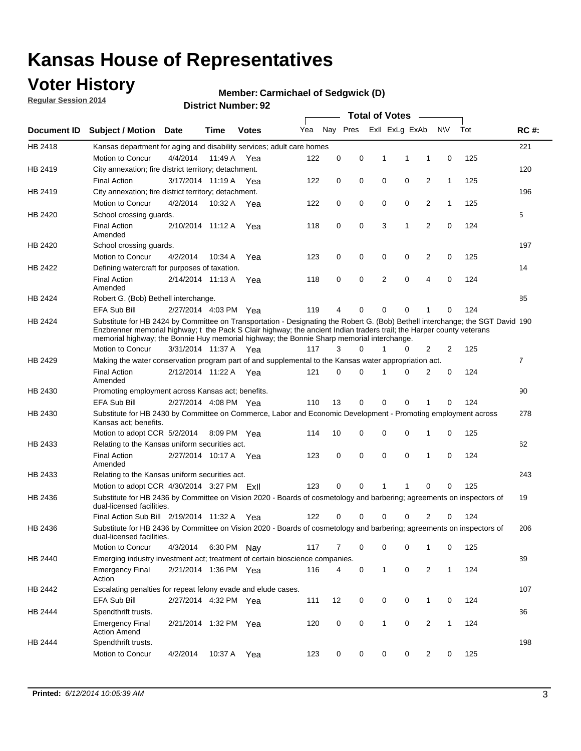### **Voter History**

**Regular Session 2014**

#### **Member: Carmichael of Sedgwick (D)**

|             |                                                                                                                                                                                                                                                                                                                                                      |                       |             | DISTRICT MAILINGL. 32 |     |          |          | <b>Total of Votes</b>      |              |                |              |     |                |
|-------------|------------------------------------------------------------------------------------------------------------------------------------------------------------------------------------------------------------------------------------------------------------------------------------------------------------------------------------------------------|-----------------------|-------------|-----------------------|-----|----------|----------|----------------------------|--------------|----------------|--------------|-----|----------------|
| Document ID | <b>Subject / Motion</b>                                                                                                                                                                                                                                                                                                                              | Date                  | Time        | <b>Votes</b>          | Yea |          | Nay Pres | Exll ExLg ExAb             |              | N\V            |              | Tot | <b>RC#:</b>    |
| HB 2418     | Kansas department for aging and disability services; adult care homes                                                                                                                                                                                                                                                                                |                       |             |                       |     |          |          |                            |              |                |              |     | 221            |
|             | <b>Motion to Concur</b>                                                                                                                                                                                                                                                                                                                              | 4/4/2014              | 11:49 A     | Yea                   | 122 | 0        | 0        | 1<br>1                     | 1            |                | 0            | 125 |                |
| HB 2419     | City annexation; fire district territory; detachment.                                                                                                                                                                                                                                                                                                |                       |             |                       |     |          |          |                            |              |                |              |     | 120            |
|             | <b>Final Action</b>                                                                                                                                                                                                                                                                                                                                  | 3/17/2014 11:19 A     |             | Yea                   | 122 | 0        | 0        | 0<br>0                     |              | $\overline{2}$ | $\mathbf{1}$ | 125 |                |
| HB 2419     | City annexation; fire district territory; detachment.                                                                                                                                                                                                                                                                                                |                       |             |                       |     |          |          |                            |              |                |              |     | 196            |
|             | Motion to Concur                                                                                                                                                                                                                                                                                                                                     | 4/2/2014              | 10:32 A     | Yea                   | 122 | 0        | 0        | 0<br>0                     |              | $\overline{2}$ | 1            | 125 |                |
| HB 2420     | School crossing quards.                                                                                                                                                                                                                                                                                                                              |                       |             |                       |     |          |          |                            |              |                |              |     | 5              |
|             | <b>Final Action</b><br>Amended                                                                                                                                                                                                                                                                                                                       | 2/10/2014 11:12 A     |             | Yea                   | 118 | 0        | 0        | 3<br>1                     |              | $\overline{2}$ | 0            | 124 |                |
| HB 2420     | School crossing guards.                                                                                                                                                                                                                                                                                                                              |                       |             |                       |     |          |          |                            |              |                |              |     | 197            |
|             | Motion to Concur                                                                                                                                                                                                                                                                                                                                     | 4/2/2014              | 10:34 A     | Yea                   | 123 | 0        | 0        | 0<br>0                     |              | 2              | 0            | 125 |                |
| HB 2422     | Defining watercraft for purposes of taxation.                                                                                                                                                                                                                                                                                                        |                       |             |                       |     |          |          |                            |              |                |              |     | 14             |
|             | <b>Final Action</b><br>Amended                                                                                                                                                                                                                                                                                                                       | 2/14/2014 11:13 A     |             | Yea                   | 118 | 0        | 0        | 2<br>$\mathbf 0$           |              | $\overline{4}$ | 0            | 124 |                |
| HB 2424     | Robert G. (Bob) Bethell interchange.                                                                                                                                                                                                                                                                                                                 |                       |             |                       |     |          |          |                            |              |                |              |     | 85             |
|             | <b>EFA Sub Bill</b>                                                                                                                                                                                                                                                                                                                                  | 2/27/2014 4:03 PM Yea |             |                       | 119 | 4        | 0        | $\Omega$<br>$\Omega$       | 1            |                | 0            | 124 |                |
| HB 2424     | Substitute for HB 2424 by Committee on Transportation - Designating the Robert G. (Bob) Bethell interchange; the SGT David 190<br>Enzbrenner memorial highway; t the Pack S Clair highway; the ancient Indian traders trail; the Harper county veterans<br>memorial highway; the Bonnie Huy memorial highway; the Bonnie Sharp memorial interchange. |                       |             |                       |     |          |          |                            |              |                |              |     |                |
|             | Motion to Concur                                                                                                                                                                                                                                                                                                                                     | 3/31/2014 11:37 A Yea |             |                       | 117 | 3        | $\Omega$ | 1<br>0                     |              | $\overline{2}$ | 2            | 125 |                |
| HB 2429     | Making the water conservation program part of and supplemental to the Kansas water appropriation act.                                                                                                                                                                                                                                                |                       |             |                       |     |          |          |                            |              |                |              |     | $\overline{7}$ |
|             | <b>Final Action</b><br>Amended                                                                                                                                                                                                                                                                                                                       | 2/12/2014 11:22 A Yea |             |                       | 121 | $\Omega$ | $\Omega$ | 0<br>1                     |              | $\overline{2}$ | $\mathbf 0$  | 124 |                |
| HB 2430     | Promoting employment across Kansas act; benefits.                                                                                                                                                                                                                                                                                                    |                       |             |                       |     |          |          |                            |              |                |              |     | 90             |
|             | <b>EFA Sub Bill</b>                                                                                                                                                                                                                                                                                                                                  | 2/27/2014 4:08 PM Yea |             |                       | 110 | 13       | 0        | $\mathbf 0$<br>0           |              |                | 0            | 124 |                |
| HB 2430     | Substitute for HB 2430 by Committee on Commerce, Labor and Economic Development - Promoting employment across<br>Kansas act; benefits.                                                                                                                                                                                                               |                       |             |                       |     |          |          |                            |              |                |              |     | 278            |
|             | Motion to adopt CCR 5/2/2014                                                                                                                                                                                                                                                                                                                         |                       | 8:09 PM Yea |                       | 114 | 10       | 0        | 0<br>0                     | 1            |                | 0            | 125 |                |
| HB 2433     | Relating to the Kansas uniform securities act.                                                                                                                                                                                                                                                                                                       |                       |             |                       |     |          |          |                            |              |                |              |     | 62             |
|             | <b>Final Action</b><br>Amended                                                                                                                                                                                                                                                                                                                       | 2/27/2014 10:17 A Yea |             |                       | 123 | 0        | 0        | $\mathbf 0$<br>$\mathbf 0$ | 1            |                | 0            | 124 |                |
| HB 2433     | Relating to the Kansas uniform securities act.                                                                                                                                                                                                                                                                                                       |                       |             |                       |     |          |          |                            |              |                |              |     | 243            |
|             | Motion to adopt CCR 4/30/2014 3:27 PM ExII                                                                                                                                                                                                                                                                                                           |                       |             |                       | 123 | $\Omega$ | $\Omega$ | 1<br>1                     |              | $\Omega$       | 0            | 125 |                |
| HB 2436     | Substitute for HB 2436 by Committee on Vision 2020 - Boards of cosmetology and barbering; agreements on inspectors of<br>dual-licensed facilities.                                                                                                                                                                                                   |                       |             |                       |     |          |          |                            |              |                |              |     | 19             |
|             | Final Action Sub Bill 2/19/2014 11:32 A                                                                                                                                                                                                                                                                                                              |                       |             | Yea                   | 122 | ი        | 0        | 0<br>O                     |              | 2              | 0            | 124 |                |
| HB 2436     | Substitute for HB 2436 by Committee on Vision 2020 - Boards of cosmetology and barbering; agreements on inspectors of<br>dual-licensed facilities.                                                                                                                                                                                                   |                       |             |                       |     |          |          |                            |              |                |              |     | 206            |
|             | Motion to Concur                                                                                                                                                                                                                                                                                                                                     | 4/3/2014              | 6:30 PM Nay |                       | 117 | 7        | 0        | 0<br>0                     | 1            |                | 0            | 125 |                |
| HB 2440     | Emerging industry investment act; treatment of certain bioscience companies.                                                                                                                                                                                                                                                                         |                       |             |                       |     |          |          |                            |              |                |              |     | 39             |
|             | <b>Emergency Final</b><br>Action                                                                                                                                                                                                                                                                                                                     | 2/21/2014 1:36 PM Yea |             |                       | 116 | 4        | 0        | $\mathbf{1}$<br>0          |              | 2              | $\mathbf{1}$ | 124 |                |
| HB 2442     | Escalating penalties for repeat felony evade and elude cases.                                                                                                                                                                                                                                                                                        |                       |             |                       |     |          |          |                            |              |                |              |     | 107            |
|             | EFA Sub Bill                                                                                                                                                                                                                                                                                                                                         | 2/27/2014 4:32 PM Yea |             |                       | 111 | 12       | 0        | 0<br>0                     | $\mathbf{1}$ |                | 0            | 124 |                |
| HB 2444     | Spendthrift trusts.                                                                                                                                                                                                                                                                                                                                  |                       |             |                       |     |          |          |                            |              |                |              |     | 36             |
|             | <b>Emergency Final</b><br><b>Action Amend</b>                                                                                                                                                                                                                                                                                                        | 2/21/2014 1:32 PM Yea |             |                       | 120 | 0        | 0        | $\mathbf{1}$<br>0          |              | $\overline{2}$ | $\mathbf{1}$ | 124 |                |
| HB 2444     | Spendthrift trusts.                                                                                                                                                                                                                                                                                                                                  |                       |             |                       |     |          |          |                            |              |                |              |     | 198            |
|             | Motion to Concur                                                                                                                                                                                                                                                                                                                                     | 4/2/2014              | 10:37 A     | Yea                   | 123 | 0        | 0        | 0<br>0                     |              | $\overline{2}$ | 0            | 125 |                |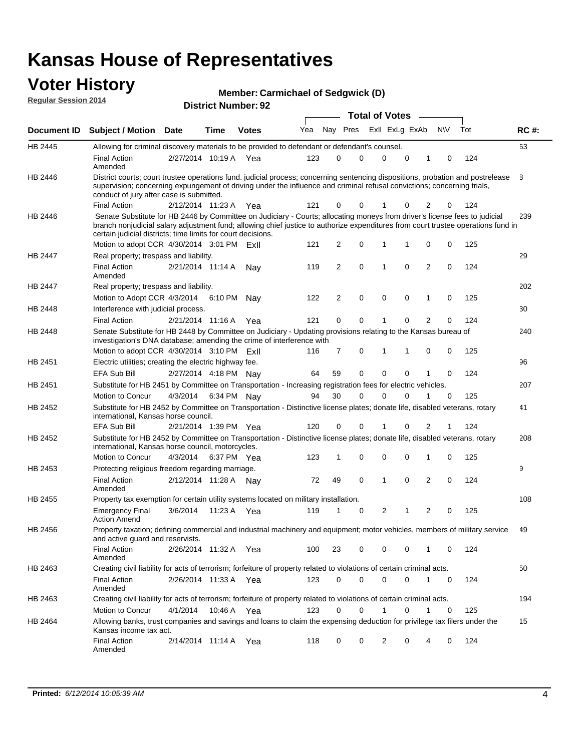#### **Voter History Regular Session 2014**

| <b>Member: Carmichael of Sedgwick (D)</b> |  |
|-------------------------------------------|--|
|-------------------------------------------|--|

| דו טב ווטופסטט ומושפטו |                                                                                                                                                                                                                                                                                                                                                                               |                       |         | <b>District Number: 92</b> |     |    |                |             | <b>Total of Votes</b> |             |                |             |     |             |
|------------------------|-------------------------------------------------------------------------------------------------------------------------------------------------------------------------------------------------------------------------------------------------------------------------------------------------------------------------------------------------------------------------------|-----------------------|---------|----------------------------|-----|----|----------------|-------------|-----------------------|-------------|----------------|-------------|-----|-------------|
| <b>Document ID</b>     |                                                                                                                                                                                                                                                                                                                                                                               |                       | Time    | <b>Votes</b>               | Yea |    | Nay Pres       |             | Exll ExLg ExAb        |             |                | <b>NV</b>   | Tot | <b>RC#:</b> |
|                        | Subject / Motion Date                                                                                                                                                                                                                                                                                                                                                         |                       |         |                            |     |    |                |             |                       |             |                |             |     |             |
| HB 2445                | Allowing for criminal discovery materials to be provided to defendant or defendant's counsel.                                                                                                                                                                                                                                                                                 |                       |         |                            |     |    |                |             |                       |             |                |             |     | 63          |
|                        | <b>Final Action</b><br>Amended                                                                                                                                                                                                                                                                                                                                                | 2/27/2014 10:19 A Yea |         |                            | 123 |    | 0              | 0           | $\mathbf 0$           | 0           | 1              | 0           | 124 |             |
| HB 2446                | District courts; court trustee operations fund. judicial process; concerning sentencing dispositions, probation and postrelease<br>supervision; concerning expungement of driving under the influence and criminal refusal convictions; concerning trials,<br>conduct of jury after case is submitted.                                                                        |                       |         |                            |     |    |                |             |                       |             |                |             |     | 8           |
|                        | <b>Final Action</b>                                                                                                                                                                                                                                                                                                                                                           | 2/12/2014 11:23 A     |         | Yea                        | 121 |    | 0              | 0           |                       | 0           | 2              | 0           | 124 |             |
| HB 2446                | Senate Substitute for HB 2446 by Committee on Judiciary - Courts; allocating moneys from driver's license fees to judicial<br>branch nonjudicial salary adjustment fund; allowing chief justice to authorize expenditures from court trustee operations fund in<br>certain judicial districts; time limits for court decisions.<br>Motion to adopt CCR 4/30/2014 3:01 PM ExII |                       |         |                            | 121 |    | $\overline{2}$ | $\mathbf 0$ | 1                     | 1           | $\mathbf 0$    | 0           | 125 | 239         |
| HB 2447                | Real property; trespass and liability.                                                                                                                                                                                                                                                                                                                                        |                       |         |                            |     |    |                |             |                       |             |                |             |     | 29          |
|                        | <b>Final Action</b><br>Amended                                                                                                                                                                                                                                                                                                                                                | 2/21/2014 11:14 A     |         | Nav                        | 119 |    | $\overline{2}$ | $\mathbf 0$ | 1                     | $\mathbf 0$ | $\overline{2}$ | 0           | 124 |             |
| HB 2447                | Real property; trespass and liability.                                                                                                                                                                                                                                                                                                                                        |                       |         |                            |     |    |                |             |                       |             |                |             |     | 202         |
|                        | Motion to Adopt CCR 4/3/2014 6:10 PM                                                                                                                                                                                                                                                                                                                                          |                       |         | Nay                        | 122 |    | $\overline{2}$ | 0           | 0                     | 0           | $\mathbf{1}$   | 0           | 125 |             |
| HB 2448                | Interference with judicial process.                                                                                                                                                                                                                                                                                                                                           |                       |         |                            |     |    |                |             |                       |             |                |             |     | 30          |
|                        | <b>Final Action</b>                                                                                                                                                                                                                                                                                                                                                           | 2/21/2014 11:16 A     |         | Yea                        | 121 |    | 0              | 0           |                       | 0           | $\overline{2}$ | 0           | 124 |             |
| HB 2448                | Senate Substitute for HB 2448 by Committee on Judiciary - Updating provisions relating to the Kansas bureau of<br>investigation's DNA database; amending the crime of interference with                                                                                                                                                                                       |                       |         |                            |     |    |                |             |                       |             |                |             |     | 240         |
|                        | Motion to adopt CCR 4/30/2014 3:10 PM ExII                                                                                                                                                                                                                                                                                                                                    |                       |         |                            | 116 |    | 7              | 0           | 1                     | 1           | 0              | 0           | 125 |             |
| HB 2451                | Electric utilities; creating the electric highway fee.                                                                                                                                                                                                                                                                                                                        |                       |         |                            |     |    |                |             |                       |             |                |             |     | 96          |
|                        | EFA Sub Bill                                                                                                                                                                                                                                                                                                                                                                  | 2/27/2014 4:18 PM Nay |         |                            | 64  | 59 |                | $\mathbf 0$ | 0                     | 0           | 1              | 0           | 124 |             |
| HB 2451                | Substitute for HB 2451 by Committee on Transportation - Increasing registration fees for electric vehicles.                                                                                                                                                                                                                                                                   |                       |         |                            |     |    |                |             |                       |             |                |             |     | 207         |
|                        | Motion to Concur                                                                                                                                                                                                                                                                                                                                                              | 4/3/2014              |         | 6:34 PM Nay                | 94  | 30 |                | $\mathbf 0$ | $\Omega$              | 0           | 1              | 0           | 125 |             |
| HB 2452                | Substitute for HB 2452 by Committee on Transportation - Distinctive license plates; donate life, disabled veterans, rotary<br>international, Kansas horse council.                                                                                                                                                                                                            |                       |         |                            |     |    |                |             |                       |             |                |             |     | 41          |
|                        | <b>EFA Sub Bill</b>                                                                                                                                                                                                                                                                                                                                                           | 2/21/2014 1:39 PM Yea |         |                            | 120 |    | 0              | 0           |                       | 0           | 2              |             | 124 |             |
| HB 2452                | Substitute for HB 2452 by Committee on Transportation - Distinctive license plates; donate life, disabled veterans, rotary<br>international, Kansas horse council, motorcycles.                                                                                                                                                                                               |                       |         |                            |     |    |                |             |                       |             |                |             |     | 208         |
|                        | Motion to Concur                                                                                                                                                                                                                                                                                                                                                              | 4/3/2014              |         | 6:37 PM Yea                | 123 | 1  |                | 0           | 0                     | 0           | $\mathbf{1}$   | 0           | 125 |             |
| HB 2453                | Protecting religious freedom regarding marriage.                                                                                                                                                                                                                                                                                                                              |                       |         |                            |     |    |                |             |                       |             |                |             |     | 9           |
|                        | <b>Final Action</b><br>Amended                                                                                                                                                                                                                                                                                                                                                | 2/12/2014 11:28 A     |         | Nav                        | 72  | 49 |                | 0           | 1                     | $\mathbf 0$ | $\overline{2}$ | $\mathbf 0$ | 124 |             |
| HB 2455                | Property tax exemption for certain utility systems located on military installation.                                                                                                                                                                                                                                                                                          |                       |         |                            |     |    |                |             |                       |             |                |             |     | 108         |
|                        | <b>Emergency Final</b><br><b>Action Amend</b>                                                                                                                                                                                                                                                                                                                                 | 3/6/2014              | 11:23 A | Yea                        | 119 | 1  |                | 0           | 2                     | 1           | $\overline{2}$ | 0           | 125 |             |
| HB 2456                | Property taxation; defining commercial and industrial machinery and equipment; motor vehicles, members of military service<br>and active guard and reservists.                                                                                                                                                                                                                |                       |         |                            |     |    |                |             |                       |             |                |             |     | 49          |
|                        | <b>Final Action</b><br>Amended                                                                                                                                                                                                                                                                                                                                                | 2/26/2014 11:32 A Yea |         |                            | 100 | 23 |                | 0           | 0                     | 0           | $\mathbf{1}$   | 0           | 124 |             |
| HB 2463                | Creating civil liability for acts of terrorism; forfeiture of property related to violations of certain criminal acts.                                                                                                                                                                                                                                                        |                       |         |                            |     |    |                |             |                       |             |                |             |     | 50          |
|                        | <b>Final Action</b><br>Amended                                                                                                                                                                                                                                                                                                                                                | 2/26/2014 11:33 A Yea |         |                            | 123 |    | 0              | $\mathbf 0$ | 0                     | 0           | $\mathbf{1}$   | 0           | 124 |             |
| HB 2463                | Creating civil liability for acts of terrorism; forfeiture of property related to violations of certain criminal acts.                                                                                                                                                                                                                                                        |                       |         |                            |     |    |                |             |                       |             |                |             |     | 194         |
|                        | Motion to Concur                                                                                                                                                                                                                                                                                                                                                              | 4/1/2014              |         | 10:46 A Yea                | 123 |    | 0              | 0           |                       | 0           | 1              | 0           | 125 |             |
| HB 2464                | Allowing banks, trust companies and savings and loans to claim the expensing deduction for privilege tax filers under the<br>Kansas income tax act.                                                                                                                                                                                                                           |                       |         |                            |     |    |                |             |                       |             |                |             |     | 15          |
|                        | <b>Final Action</b><br>Amended                                                                                                                                                                                                                                                                                                                                                | 2/14/2014 11:14 A Yea |         |                            | 118 |    | 0              | 0           | 2                     | 0           | 4              | 0           | 124 |             |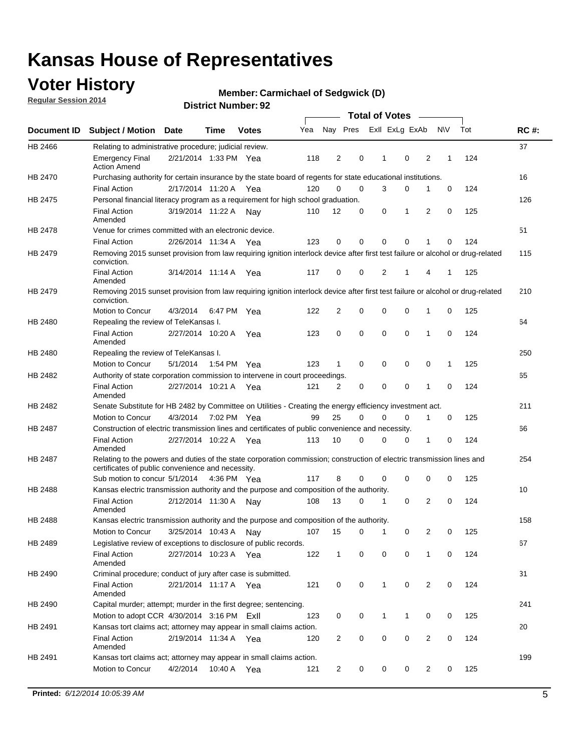### **Voter History**

**Regular Session 2014**

#### **Member: Carmichael of Sedgwick (D)**

|                |                                                                                                                                                                             |                       |             |              |     |              |             | <b>Total of Votes</b> |             |                |             |     |             |
|----------------|-----------------------------------------------------------------------------------------------------------------------------------------------------------------------------|-----------------------|-------------|--------------|-----|--------------|-------------|-----------------------|-------------|----------------|-------------|-----|-------------|
|                | Document ID Subject / Motion Date                                                                                                                                           |                       | Time        | <b>Votes</b> | Yea | Nay Pres     |             | Exll ExLg ExAb        |             |                | <b>NV</b>   | Tot | <b>RC#:</b> |
| HB 2466        | Relating to administrative procedure; judicial review.                                                                                                                      |                       |             |              |     |              |             |                       |             |                |             |     | 37          |
|                | <b>Emergency Final</b><br><b>Action Amend</b>                                                                                                                               | 2/21/2014 1:33 PM Yea |             |              | 118 | 2            | 0           | 1                     | $\mathbf 0$ | 2              | 1           | 124 |             |
| HB 2470        | Purchasing authority for certain insurance by the state board of regents for state educational institutions.                                                                |                       |             |              |     |              |             |                       |             |                |             |     | 16          |
|                | <b>Final Action</b>                                                                                                                                                         | 2/17/2014 11:20 A Yea |             |              | 120 | 0            | 0           | 3                     | 0           | 1              | 0           | 124 |             |
| HB 2475        | Personal financial literacy program as a requirement for high school graduation.                                                                                            |                       |             |              |     |              |             |                       |             |                |             |     | 126         |
|                | <b>Final Action</b><br>Amended                                                                                                                                              | 3/19/2014 11:22 A Nay |             |              | 110 | 12           | 0           | 0                     | 1           | 2              | 0           | 125 |             |
| <b>HB 2478</b> | Venue for crimes committed with an electronic device.                                                                                                                       |                       |             |              |     |              |             |                       |             |                |             |     | 51          |
|                | <b>Final Action</b>                                                                                                                                                         | 2/26/2014 11:34 A     |             | Yea          | 123 | 0            | 0           | 0                     | $\mathbf 0$ | 1              | $\mathbf 0$ | 124 |             |
| HB 2479        | Removing 2015 sunset provision from law requiring ignition interlock device after first test failure or alcohol or drug-related<br>conviction.                              |                       |             |              |     |              |             |                       |             |                |             |     | 115         |
|                | <b>Final Action</b><br>Amended                                                                                                                                              | 3/14/2014 11:14 A     |             | Yea          | 117 | 0            | 0           | 2                     | 1           | 4              | 1           | 125 |             |
| HB 2479        | Removing 2015 sunset provision from law requiring ignition interlock device after first test failure or alcohol or drug-related<br>conviction.                              |                       |             |              |     |              |             |                       |             |                |             |     | 210         |
|                | Motion to Concur                                                                                                                                                            | 4/3/2014              |             | 6:47 PM Yea  | 122 | 2            | 0           | 0                     | 0           | 1              | 0           | 125 |             |
| HB 2480        | Repealing the review of TeleKansas I.                                                                                                                                       |                       |             |              |     |              |             |                       |             |                |             |     | 64          |
|                | <b>Final Action</b><br>Amended                                                                                                                                              | 2/27/2014 10:20 A     |             | Yea          | 123 | 0            | 0           | 0                     | 0           | 1              | 0           | 124 |             |
| HB 2480        | Repealing the review of TeleKansas I.                                                                                                                                       |                       |             |              |     |              |             |                       |             |                |             |     | 250         |
|                | Motion to Concur                                                                                                                                                            | 5/1/2014              | 1:54 PM Yea |              | 123 | $\mathbf 1$  | 0           | 0                     | 0           | 0              | 1           | 125 |             |
| HB 2482        | Authority of state corporation commission to intervene in court proceedings.                                                                                                |                       |             |              |     |              |             |                       |             |                |             |     | 65          |
|                | <b>Final Action</b><br>Amended                                                                                                                                              | 2/27/2014 10:21 A     |             | Yea          | 121 | 2            | 0           | $\mathbf 0$           | 0           | 1              | $\mathbf 0$ | 124 |             |
| HB 2482        | Senate Substitute for HB 2482 by Committee on Utilities - Creating the energy efficiency investment act.                                                                    |                       |             |              |     |              |             |                       |             |                |             |     | 211         |
|                | Motion to Concur                                                                                                                                                            | 4/3/2014 7:02 PM Yea  |             |              | 99  | 25           | 0           | 0                     | 0           | 1              | 0           | 125 |             |
| HB 2487        | Construction of electric transmission lines and certificates of public convenience and necessity.                                                                           |                       |             |              |     |              |             |                       |             |                |             |     | 66          |
|                | <b>Final Action</b><br>Amended                                                                                                                                              | 2/27/2014 10:22 A Yea |             |              | 113 | 10           | 0           | 0                     | 0           | 1              | 0           | 124 |             |
| HB 2487        | Relating to the powers and duties of the state corporation commission; construction of electric transmission lines and<br>certificates of public convenience and necessity. |                       |             |              |     |              |             |                       |             |                |             |     | 254         |
|                | Sub motion to concur 5/1/2014                                                                                                                                               |                       |             | 4:36 PM Yea  | 117 | 8            | 0           | 0                     | 0           | 0              | 0           | 125 |             |
| HB 2488        | Kansas electric transmission authority and the purpose and composition of the authority.                                                                                    |                       |             |              |     |              |             |                       |             |                |             |     | 10          |
|                | <b>Final Action</b><br>Amended                                                                                                                                              | 2/12/2014 11:30 A     |             | Nav          | 108 | 13           | 0           | 1                     | 0           | 2              | 0           | 124 |             |
| HB 2488        | Kansas electric transmission authority and the purpose and composition of the authority.                                                                                    |                       |             |              |     |              |             |                       |             |                |             |     | 158         |
|                | <b>Motion to Concur</b>                                                                                                                                                     | 3/25/2014 10:43 A     |             | Nav          | 107 | 15           | 0           | 1                     | 0           | 2              | 0           | 125 |             |
| HB 2489        | Legislative review of exceptions to disclosure of public records.                                                                                                           |                       |             |              |     |              |             |                       |             |                |             |     | 67          |
|                | <b>Final Action</b><br>Amended                                                                                                                                              | 2/27/2014 10:23 A Yea |             |              | 122 | $\mathbf{1}$ | 0           | 0                     | $\mathbf 0$ | 1              | 0           | 124 |             |
| HB 2490        | Criminal procedure; conduct of jury after case is submitted.                                                                                                                |                       |             |              |     |              |             |                       |             |                |             |     | 31          |
|                | <b>Final Action</b><br>Amended                                                                                                                                              | 2/21/2014 11:17 A Yea |             |              | 121 | 0            | 0           | 1                     | 0           | 2              | 0           | 124 |             |
| HB 2490        | Capital murder; attempt; murder in the first degree; sentencing.                                                                                                            |                       |             |              |     |              |             |                       |             |                |             |     | 241         |
|                | Motion to adopt CCR 4/30/2014 3:16 PM ExII                                                                                                                                  |                       |             |              | 123 | 0            | 0           | 1                     | 1           | 0              | 0           | 125 |             |
| HB 2491        | Kansas tort claims act; attorney may appear in small claims action.                                                                                                         |                       |             |              |     |              |             |                       |             |                |             |     | 20          |
|                | <b>Final Action</b><br>Amended                                                                                                                                              | 2/19/2014 11:34 A Yea |             |              | 120 | 2            | 0           | 0                     | 0           | $\overline{2}$ | 0           | 124 |             |
| HB 2491        | Kansas tort claims act; attorney may appear in small claims action.                                                                                                         |                       |             |              |     |              |             |                       |             |                |             |     | 199         |
|                | Motion to Concur                                                                                                                                                            | 4/2/2014              |             | 10:40 A Yea  | 121 | 2            | $\mathbf 0$ | 0                     | 0           | $\overline{2}$ | 0           | 125 |             |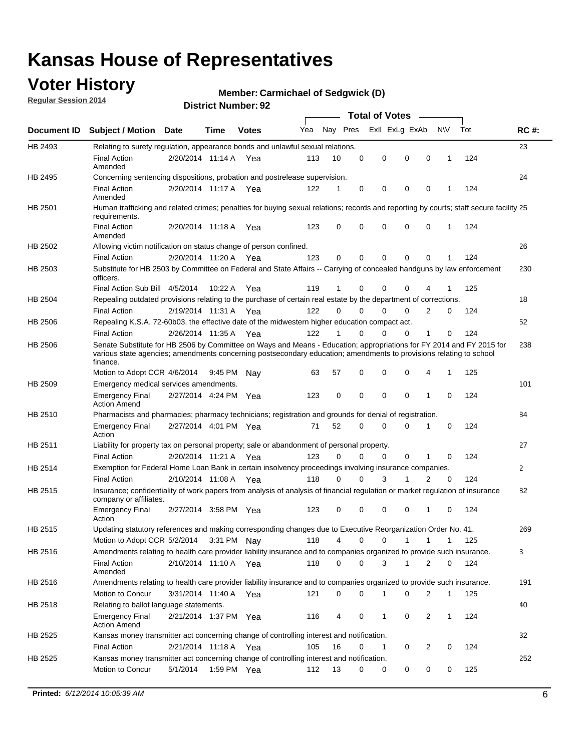### **Voter History**

**Regular Session 2014**

#### **Member: Carmichael of Sedgwick (D)**

|                |                                                                                                                                                                                                                                                        |                       |             | DISTRICT MAILINGLESS |     |          |          |                                    |             |                |              |     |              |
|----------------|--------------------------------------------------------------------------------------------------------------------------------------------------------------------------------------------------------------------------------------------------------|-----------------------|-------------|----------------------|-----|----------|----------|------------------------------------|-------------|----------------|--------------|-----|--------------|
| Document ID    | <b>Subject / Motion Date</b>                                                                                                                                                                                                                           |                       | Time        | <b>Votes</b>         | Yea |          | Nay Pres | Total of Votes –<br>Exll ExLg ExAb |             | N\V            |              | Tot | <b>RC#:</b>  |
| HB 2493        | Relating to surety regulation, appearance bonds and unlawful sexual relations.                                                                                                                                                                         |                       |             |                      |     |          |          |                                    |             |                |              |     | 23           |
|                | <b>Final Action</b><br>Amended                                                                                                                                                                                                                         | 2/20/2014 11:14 A Yea |             |                      | 113 | 10       | 0        | 0                                  | $\mathbf 0$ | $\mathbf 0$    | $\mathbf 1$  | 124 |              |
| HB 2495        | Concerning sentencing dispositions, probation and postrelease supervision.                                                                                                                                                                             |                       |             |                      |     |          |          |                                    |             |                |              |     | 24           |
|                | <b>Final Action</b><br>Amended                                                                                                                                                                                                                         | 2/20/2014 11:17 A     |             | Yea                  | 122 | 1        | 0        | 0                                  | 0           | $\mathbf 0$    | -1           | 124 |              |
| HB 2501        | Human trafficking and related crimes; penalties for buying sexual relations; records and reporting by courts; staff secure facility 25<br>requirements.                                                                                                |                       |             |                      |     |          |          |                                    |             |                |              |     |              |
|                | <b>Final Action</b><br>Amended                                                                                                                                                                                                                         | 2/20/2014 11:18 A Yea |             |                      | 123 | 0        | $\Omega$ | 0                                  | $\Omega$    | $\mathbf 0$    | 1            | 124 |              |
| HB 2502        | Allowing victim notification on status change of person confined.                                                                                                                                                                                      |                       |             |                      |     |          |          |                                    |             |                |              |     | 26           |
|                | <b>Final Action</b>                                                                                                                                                                                                                                    | 2/20/2014 11:20 A Yea |             |                      | 123 | 0        | 0        | 0                                  | 0           | $\mathbf 0$    |              | 124 |              |
| HB 2503        | Substitute for HB 2503 by Committee on Federal and State Affairs -- Carrying of concealed handguns by law enforcement<br>officers.                                                                                                                     |                       |             |                      |     |          |          |                                    |             |                |              |     | 230          |
|                | Final Action Sub Bill 4/5/2014                                                                                                                                                                                                                         |                       | 10:22A      | Yea                  | 119 | 1        | 0        | 0                                  | 0           |                |              | 125 |              |
| <b>HB 2504</b> | Repealing outdated provisions relating to the purchase of certain real estate by the department of corrections.                                                                                                                                        |                       |             |                      |     |          |          |                                    |             |                |              |     | 18           |
|                | <b>Final Action</b>                                                                                                                                                                                                                                    | 2/19/2014 11:31 A     |             | Yea                  | 122 | $\Omega$ | $\Omega$ | 0                                  | 0           | $\overline{2}$ | 0            | 124 |              |
| HB 2506        | Repealing K.S.A. 72-60b03, the effective date of the midwestern higher education compact act.                                                                                                                                                          |                       |             |                      |     |          |          |                                    |             |                |              |     | 52           |
|                | <b>Final Action</b>                                                                                                                                                                                                                                    | 2/26/2014 11:35 A Yea |             |                      | 122 | 1        | 0        | 0                                  | 0           | 1              | 0            | 124 |              |
| HB 2506        | Senate Substitute for HB 2506 by Committee on Ways and Means - Education; appropriations for FY 2014 and FY 2015 for<br>various state agencies; amendments concerning postsecondary education; amendments to provisions relating to school<br>finance. |                       |             |                      |     |          |          |                                    |             |                |              |     | 238          |
|                | Motion to Adopt CCR 4/6/2014                                                                                                                                                                                                                           |                       | 9:45 PM Nav |                      | 63  | 57       | 0        | 0                                  | 0           | 4              | $\mathbf{1}$ | 125 |              |
| HB 2509        | Emergency medical services amendments.                                                                                                                                                                                                                 |                       |             |                      |     |          |          |                                    |             |                |              |     | 101          |
|                | <b>Emergency Final</b><br><b>Action Amend</b>                                                                                                                                                                                                          | 2/27/2014 4:24 PM Yea |             |                      | 123 | 0        | $\Omega$ | $\Omega$                           | $\Omega$    | 1              | $\Omega$     | 124 |              |
| HB 2510        | Pharmacists and pharmacies; pharmacy technicians; registration and grounds for denial of registration.                                                                                                                                                 |                       |             |                      |     |          |          |                                    |             |                |              |     | 84           |
|                | <b>Emergency Final</b><br>Action                                                                                                                                                                                                                       | 2/27/2014 4:01 PM Yea |             |                      | 71  | 52       | $\Omega$ | 0                                  | 0           | 1              | 0            | 124 |              |
| HB 2511        | Liability for property tax on personal property; sale or abandonment of personal property.                                                                                                                                                             |                       |             |                      |     |          |          |                                    |             |                |              |     | 27           |
|                | <b>Final Action</b>                                                                                                                                                                                                                                    | 2/20/2014 11:21 A Yea |             |                      | 123 | $\Omega$ | 0        | 0                                  | 0           | 1              | 0            | 124 |              |
| HB 2514        | Exemption for Federal Home Loan Bank in certain insolvency proceedings involving insurance companies.                                                                                                                                                  |                       |             |                      |     |          |          |                                    |             |                |              |     | $\mathbf{2}$ |
|                | <b>Final Action</b>                                                                                                                                                                                                                                    | 2/10/2014 11:08 A     |             | Yea                  | 118 | $\Omega$ | $\Omega$ | 3                                  | 1           | 2              | 0            | 124 |              |
| HB 2515        | Insurance; confidentiality of work papers from analysis of analysis of financial regulation or market regulation of insurance<br>company or affiliates.                                                                                                |                       |             |                      |     |          |          |                                    |             |                |              |     | 82           |
|                | <b>Emergency Final</b><br>Action                                                                                                                                                                                                                       | 2/27/2014 3:58 PM Yea |             |                      | 123 | 0        | 0        | 0                                  | 0           | 1              | $\Omega$     | 124 |              |
| HB 2515        | Updating statutory references and making corresponding changes due to Executive Reorganization Order No. 41.                                                                                                                                           |                       |             |                      |     |          |          |                                    |             |                |              |     | 269          |
|                | Motion to Adopt CCR 5/2/2014 3:31 PM Nay                                                                                                                                                                                                               |                       |             |                      | 118 | 4        | 0        | 0                                  | 1           | 1              | 1            | 125 |              |
| HB 2516        | Amendments relating to health care provider liability insurance and to companies organized to provide such insurance.                                                                                                                                  |                       |             |                      |     |          |          |                                    |             |                |              |     | 3            |
|                | <b>Final Action</b><br>Amended                                                                                                                                                                                                                         | 2/10/2014 11:10 A Yea |             |                      | 118 | 0        | 0        | 3                                  | 1           | 2              | 0            | 124 |              |
| HB 2516        | Amendments relating to health care provider liability insurance and to companies organized to provide such insurance.                                                                                                                                  |                       |             |                      |     |          |          |                                    |             |                |              |     | 191          |
|                | Motion to Concur                                                                                                                                                                                                                                       | 3/31/2014 11:40 A Yea |             |                      | 121 | 0        | 0        | 1                                  | 0           | 2              | $\mathbf{1}$ | 125 |              |
| HB 2518        | Relating to ballot language statements.                                                                                                                                                                                                                |                       |             |                      |     |          |          |                                    |             |                |              |     | 40           |
|                | <b>Emergency Final</b><br><b>Action Amend</b>                                                                                                                                                                                                          | 2/21/2014 1:37 PM Yea |             |                      | 116 | 4        | 0        | 1                                  | 0           | 2              | 1            | 124 |              |
| HB 2525        | Kansas money transmitter act concerning change of controlling interest and notification.                                                                                                                                                               |                       |             |                      |     |          |          |                                    |             |                |              |     | 32           |
|                | <b>Final Action</b>                                                                                                                                                                                                                                    | 2/21/2014 11:18 A Yea |             |                      | 105 | 16       | 0        | 1                                  | 0           | 2              | 0            | 124 |              |
| HB 2525        | Kansas money transmitter act concerning change of controlling interest and notification.                                                                                                                                                               |                       |             |                      |     |          |          |                                    |             |                |              |     | 252          |
|                | Motion to Concur                                                                                                                                                                                                                                       | 5/1/2014              | 1:59 PM Yea |                      | 112 | 13       | 0        | 0                                  | 0           | 0              | 0            | 125 |              |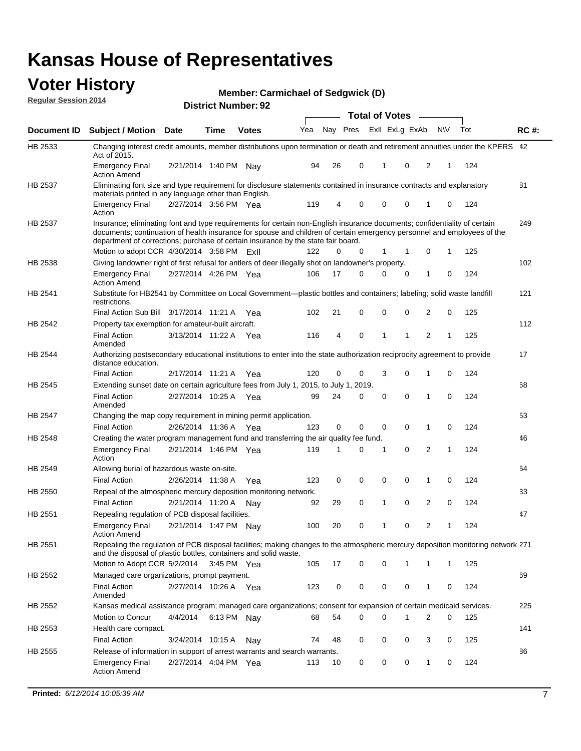#### **Voter History Regular Session 2014**

**Member: Carmichael of Sedgwick (D)** 

|         |                                                                                                                                                                                                                                                                                                                                           |                       |      | DISTRICT MAILINGL. 32 |     |    |             | <b>Total of Votes</b> |             | $\sim$         |                |           |     |             |
|---------|-------------------------------------------------------------------------------------------------------------------------------------------------------------------------------------------------------------------------------------------------------------------------------------------------------------------------------------------|-----------------------|------|-----------------------|-----|----|-------------|-----------------------|-------------|----------------|----------------|-----------|-----|-------------|
|         | Document ID Subject / Motion                                                                                                                                                                                                                                                                                                              | <b>Date</b>           | Time | <b>Votes</b>          | Yea |    | Nay Pres    |                       |             | Exll ExLg ExAb |                | <b>NV</b> | Tot | <b>RC#:</b> |
| HB 2533 | Changing interest credit amounts, member distributions upon termination or death and retirement annuities under the KPERS 42<br>Act of 2015.                                                                                                                                                                                              |                       |      |                       |     |    |             |                       |             |                |                |           |     |             |
|         | <b>Emergency Final</b><br><b>Action Amend</b>                                                                                                                                                                                                                                                                                             | 2/21/2014 1:40 PM     |      | Nav                   | 94  | 26 | 0           |                       | 1           | 0              | 2              | 1         | 124 |             |
| HB 2537 | Eliminating font size and type requirement for disclosure statements contained in insurance contracts and explanatory<br>materials printed in any language other than English.                                                                                                                                                            |                       |      |                       |     |    |             |                       |             |                |                |           |     | 81          |
|         | <b>Emergency Final</b><br>Action                                                                                                                                                                                                                                                                                                          | 2/27/2014 3:56 PM Yea |      |                       | 119 | 4  | 0           |                       | $\mathbf 0$ | 0              | 1              | 0         | 124 |             |
| HB 2537 | Insurance; eliminating font and type requirements for certain non-English insurance documents; confidentiality of certain<br>documents; continuation of health insurance for spouse and children of certain emergency personnel and employees of the<br>department of corrections; purchase of certain insurance by the state fair board. |                       |      |                       |     |    |             |                       |             |                |                |           |     | 249         |
|         | Motion to adopt CCR 4/30/2014 3:58 PM ExII                                                                                                                                                                                                                                                                                                |                       |      |                       | 122 | 0  | 0           |                       | 1           | 1              | 0              | 1         | 125 |             |
| HB 2538 | Giving landowner right of first refusal for antlers of deer illegally shot on landowner's property.                                                                                                                                                                                                                                       |                       |      |                       |     |    |             |                       |             |                |                |           |     | 102         |
|         | <b>Emergency Final</b><br><b>Action Amend</b>                                                                                                                                                                                                                                                                                             | 2/27/2014 4:26 PM Yea |      |                       | 106 | 17 | 0           |                       | $\mathbf 0$ | 0              | 1              | 0         | 124 |             |
| HB 2541 | Substitute for HB2541 by Committee on Local Government—plastic bottles and containers; labeling; solid waste landfill<br>restrictions.                                                                                                                                                                                                    |                       |      |                       |     |    |             |                       |             |                |                |           |     | 121         |
|         | Final Action Sub Bill 3/17/2014 11:21 A Yea                                                                                                                                                                                                                                                                                               |                       |      |                       | 102 | 21 | 0           |                       | $\mathbf 0$ | 0              | $\overline{2}$ | 0         | 125 |             |
| HB 2542 | Property tax exemption for amateur-built aircraft.                                                                                                                                                                                                                                                                                        |                       |      |                       |     |    |             |                       |             |                |                |           |     | 112         |
|         | <b>Final Action</b><br>Amended                                                                                                                                                                                                                                                                                                            | 3/13/2014 11:22 A Yea |      |                       | 116 | 4  | $\mathbf 0$ |                       | $\mathbf 1$ | 1              | $\overline{2}$ | 1         | 125 |             |
| HB 2544 | Authorizing postsecondary educational institutions to enter into the state authorization reciprocity agreement to provide<br>distance education.                                                                                                                                                                                          |                       |      |                       |     |    |             |                       |             |                |                |           |     | 17          |
|         | <b>Final Action</b>                                                                                                                                                                                                                                                                                                                       | 2/17/2014 11:21 A Yea |      |                       | 120 | 0  | 0           |                       | 3           | 0              | 1              | 0         | 124 |             |
| HB 2545 | Extending sunset date on certain agriculture fees from July 1, 2015, to July 1, 2019.                                                                                                                                                                                                                                                     |                       |      |                       |     |    |             |                       |             |                |                |           |     | 68          |
|         | <b>Final Action</b><br>Amended                                                                                                                                                                                                                                                                                                            | 2/27/2014 10:25 A Yea |      |                       | 99  | 24 | 0           |                       | $\mathbf 0$ | $\Omega$       | 1              | 0         | 124 |             |
| HB 2547 | Changing the map copy requirement in mining permit application.                                                                                                                                                                                                                                                                           |                       |      |                       |     |    |             |                       |             |                |                |           |     | 53          |
|         | <b>Final Action</b>                                                                                                                                                                                                                                                                                                                       | 2/26/2014 11:36 A Yea |      |                       | 123 | 0  | 0           |                       | $\mathbf 0$ | 0              | 1              | 0         | 124 |             |
| HB 2548 | Creating the water program management fund and transferring the air quality fee fund.                                                                                                                                                                                                                                                     |                       |      |                       |     |    |             |                       |             |                |                |           |     | 46          |
|         | <b>Emergency Final</b><br>Action                                                                                                                                                                                                                                                                                                          | 2/21/2014 1:46 PM Yea |      |                       | 119 | 1  | 0           |                       | 1           | $\mathbf 0$    | 2              | 1         | 124 |             |
| HB 2549 | Allowing burial of hazardous waste on-site.                                                                                                                                                                                                                                                                                               |                       |      |                       |     |    |             |                       |             |                |                |           |     | 54          |
|         | <b>Final Action</b>                                                                                                                                                                                                                                                                                                                       | 2/26/2014 11:38 A     |      | Yea                   | 123 | 0  | 0           |                       | $\mathbf 0$ | 0              | 1              | 0         | 124 |             |
| HB 2550 | Repeal of the atmospheric mercury deposition monitoring network.                                                                                                                                                                                                                                                                          |                       |      |                       |     |    |             |                       |             |                |                |           |     | 33          |
|         | <b>Final Action</b>                                                                                                                                                                                                                                                                                                                       | 2/21/2014 11:20 A     |      | Nav                   | 92  | 29 | 0           |                       | 1           | 0              | 2              | 0         | 124 |             |
| HB 2551 | Repealing regulation of PCB disposal facilities.                                                                                                                                                                                                                                                                                          |                       |      |                       |     |    |             |                       |             |                |                |           |     | 47          |
|         | <b>Emergency Final</b><br><b>Action Amend</b>                                                                                                                                                                                                                                                                                             | 2/21/2014 1:47 PM Nay |      |                       | 100 | 20 | 0           |                       | 1           | 0              | 2              | 1         | 124 |             |
| HB 2551 | Repealing the regulation of PCB disposal facilities; making changes to the atmospheric mercury deposition monitoring network 271<br>and the disposal of plastic bottles, containers and solid waste.                                                                                                                                      |                       |      |                       |     |    |             |                       |             |                |                |           |     |             |
|         | Motion to Adopt CCR 5/2/2014 3:45 PM Yea                                                                                                                                                                                                                                                                                                  |                       |      |                       | 105 | 17 | 0           |                       | 0           | 1              | 1              | 1         | 125 |             |
| HB 2552 | Managed care organizations, prompt payment.                                                                                                                                                                                                                                                                                               |                       |      |                       |     |    |             |                       |             |                |                |           |     | 69          |
|         | <b>Final Action</b><br>Amended                                                                                                                                                                                                                                                                                                            | 2/27/2014 10:26 A Yea |      |                       | 123 | 0  | 0           |                       | 0           | 0              | 1              | 0         | 124 |             |
| HB 2552 | Kansas medical assistance program; managed care organizations; consent for expansion of certain medicaid services.                                                                                                                                                                                                                        |                       |      |                       |     |    |             |                       |             |                |                |           |     | 225         |
|         | Motion to Concur                                                                                                                                                                                                                                                                                                                          | 4/4/2014              |      | 6:13 PM Nay           | 68  | 54 | 0           |                       | $\Omega$    | 1              | 2              | 0         | 125 |             |
| HB 2553 | Health care compact.                                                                                                                                                                                                                                                                                                                      |                       |      |                       |     |    |             |                       |             |                |                |           |     | 141         |
|         | <b>Final Action</b>                                                                                                                                                                                                                                                                                                                       | 3/24/2014 10:15 A     |      | Nay                   | 74  | 48 | 0           |                       | $\mathbf 0$ | 0              | 3              | 0         | 125 |             |
| HB 2555 | Release of information in support of arrest warrants and search warrants.                                                                                                                                                                                                                                                                 |                       |      |                       |     |    |             |                       |             |                |                |           |     | 86          |
|         | <b>Emergency Final</b><br><b>Action Amend</b>                                                                                                                                                                                                                                                                                             | 2/27/2014 4:04 PM Yea |      |                       | 113 | 10 | 0           |                       | 0           | 0              | $\mathbf{1}$   | 0         | 124 |             |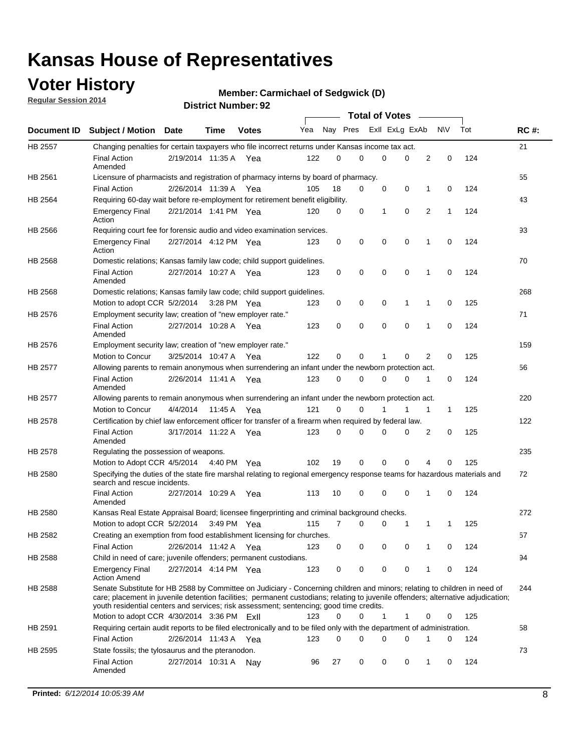### **Voter History**

**Regular Session 2014**

#### **Member: Carmichael of Sedgwick (D)**

|                |                                                                                                                                                                                                                                                                                                                                                           |                       |         |              |     |          |   | <b>Total of Votes</b> |          |   |             |     |             |
|----------------|-----------------------------------------------------------------------------------------------------------------------------------------------------------------------------------------------------------------------------------------------------------------------------------------------------------------------------------------------------------|-----------------------|---------|--------------|-----|----------|---|-----------------------|----------|---|-------------|-----|-------------|
|                | Document ID Subject / Motion                                                                                                                                                                                                                                                                                                                              | Date                  | Time    | <b>Votes</b> | Yea | Nay Pres |   | Exll ExLg ExAb        |          |   | <b>NV</b>   | Tot | <b>RC#:</b> |
| HB 2557        | Changing penalties for certain taxpayers who file incorrect returns under Kansas income tax act.                                                                                                                                                                                                                                                          |                       |         |              |     |          |   |                       |          |   |             |     | 21          |
|                | <b>Final Action</b><br>Amended                                                                                                                                                                                                                                                                                                                            | 2/19/2014 11:35 A     |         | Yea          | 122 | 0        | 0 | 0                     | 0        | 2 | 0           | 124 |             |
| HB 2561        | Licensure of pharmacists and registration of pharmacy interns by board of pharmacy.                                                                                                                                                                                                                                                                       |                       |         |              |     |          |   |                       |          |   |             |     | 55          |
|                | <b>Final Action</b>                                                                                                                                                                                                                                                                                                                                       | 2/26/2014 11:39 A Yea |         |              | 105 | 18       | 0 | 0                     | 0        | 1 | 0           | 124 |             |
| HB 2564        | Requiring 60-day wait before re-employment for retirement benefit eligibility.                                                                                                                                                                                                                                                                            |                       |         |              |     |          |   |                       |          |   |             |     | 43          |
|                | <b>Emergency Final</b><br>Action                                                                                                                                                                                                                                                                                                                          | 2/21/2014 1:41 PM Yea |         |              | 120 | 0        | 0 | 1                     | 0        | 2 | 1           | 124 |             |
| HB 2566        | Requiring court fee for forensic audio and video examination services.                                                                                                                                                                                                                                                                                    |                       |         |              |     |          |   |                       |          |   |             |     | 93          |
|                | <b>Emergency Final</b><br>Action                                                                                                                                                                                                                                                                                                                          | 2/27/2014 4:12 PM Yea |         |              | 123 | 0        | 0 | 0                     | 0        | 1 | $\mathbf 0$ | 124 |             |
| HB 2568        | Domestic relations; Kansas family law code; child support guidelines.                                                                                                                                                                                                                                                                                     |                       |         |              |     |          |   |                       |          |   |             |     | 70          |
|                | <b>Final Action</b><br>Amended                                                                                                                                                                                                                                                                                                                            | 2/27/2014 10:27 A     |         | Yea          | 123 | 0        | 0 | 0                     | 0        | 1 | 0           | 124 |             |
| HB 2568        | Domestic relations; Kansas family law code; child support guidelines.                                                                                                                                                                                                                                                                                     |                       |         |              |     |          |   |                       |          |   |             |     | 268         |
|                | Motion to adopt CCR 5/2/2014 3:28 PM Yea                                                                                                                                                                                                                                                                                                                  |                       |         |              | 123 | 0        | 0 | 0                     | 1        | 1 | $\mathbf 0$ | 125 |             |
| HB 2576        | Employment security law; creation of "new employer rate."                                                                                                                                                                                                                                                                                                 |                       |         |              |     |          |   |                       |          |   |             |     | 71          |
|                | <b>Final Action</b><br>Amended                                                                                                                                                                                                                                                                                                                            | 2/27/2014 10:28 A     |         | Yea          | 123 | 0        | 0 | 0                     | 0        | 1 | $\mathbf 0$ | 124 |             |
| HB 2576        | Employment security law; creation of "new employer rate."                                                                                                                                                                                                                                                                                                 |                       |         |              |     |          |   |                       |          |   |             |     | 159         |
|                | Motion to Concur                                                                                                                                                                                                                                                                                                                                          | 3/25/2014 10:47 A     |         | Yea          | 122 | 0        | 0 | 1                     | 0        | 2 | 0           | 125 |             |
| <b>HB 2577</b> | Allowing parents to remain anonymous when surrendering an infant under the newborn protection act.                                                                                                                                                                                                                                                        |                       |         |              |     |          |   |                       |          |   |             |     | 56          |
|                | <b>Final Action</b><br>Amended                                                                                                                                                                                                                                                                                                                            | 2/26/2014 11:41 A Yea |         |              | 123 | $\Omega$ | 0 | 0                     | 0        | 1 | 0           | 124 |             |
| HB 2577        | Allowing parents to remain anonymous when surrendering an infant under the newborn protection act.                                                                                                                                                                                                                                                        |                       |         |              |     |          |   |                       |          |   |             |     | 220         |
|                | Motion to Concur                                                                                                                                                                                                                                                                                                                                          | 4/4/2014              | 11:45 A | Yea          | 121 | 0        | 0 |                       | 1        | 1 | 1           | 125 |             |
| HB 2578        | Certification by chief law enforcement officer for transfer of a firearm when required by federal law.                                                                                                                                                                                                                                                    |                       |         |              |     |          |   |                       |          |   |             |     | 122         |
|                | <b>Final Action</b><br>Amended                                                                                                                                                                                                                                                                                                                            | 3/17/2014 11:22 A     |         | Yea          | 123 | $\Omega$ | 0 | 0                     | 0        | 2 | 0           | 125 |             |
| HB 2578        | Regulating the possession of weapons.                                                                                                                                                                                                                                                                                                                     |                       |         |              |     |          |   |                       |          |   |             |     | 235         |
|                | Motion to Adopt CCR 4/5/2014 4:40 PM Yea                                                                                                                                                                                                                                                                                                                  |                       |         |              | 102 | 19       | 0 | 0                     | $\Omega$ | 4 | 0           | 125 |             |
| HB 2580        | Specifying the duties of the state fire marshal relating to regional emergency response teams for hazardous materials and<br>search and rescue incidents.                                                                                                                                                                                                 |                       |         |              |     |          |   |                       |          |   |             |     | 72          |
|                | <b>Final Action</b><br>Amended                                                                                                                                                                                                                                                                                                                            | 2/27/2014 10:29 A     |         | Yea          | 113 | 10       | 0 | 0                     | 0        | 1 | 0           | 124 |             |
| HB 2580        | Kansas Real Estate Appraisal Board; licensee fingerprinting and criminal background checks.                                                                                                                                                                                                                                                               |                       |         |              |     |          |   |                       |          |   |             |     | 272         |
|                | Motion to adopt CCR 5/2/2014                                                                                                                                                                                                                                                                                                                              |                       |         | 3:49 PM Yea  | 115 | 7        | 0 | 0                     | 1        | 1 | 1           | 125 |             |
| HB 2582        | Creating an exemption from food establishment licensing for churches.                                                                                                                                                                                                                                                                                     |                       |         |              |     |          |   |                       |          |   |             |     | 57          |
|                | <b>Final Action</b>                                                                                                                                                                                                                                                                                                                                       | 2/26/2014 11:42 A Yea |         |              | 123 | 0        | 0 | 0                     | 0        | 1 | 0           | 124 |             |
| HB 2588        | Child in need of care; juvenile offenders; permanent custodians.                                                                                                                                                                                                                                                                                          |                       |         |              |     |          |   |                       |          |   |             |     | 94          |
|                | <b>Emergency Final</b><br><b>Action Amend</b>                                                                                                                                                                                                                                                                                                             | 2/27/2014 4:14 PM Yea |         |              | 123 | 0        | 0 | 0                     | 0        | 1 | 0           | 124 |             |
| HB 2588        | Senate Substitute for HB 2588 by Committee on Judiciary - Concerning children and minors; relating to children in need of<br>care; placement in juvenile detention facilities; permanent custodians; relating to juvenile offenders; alternative adjudication;<br>youth residential centers and services; risk assessment; sentencing; good time credits. |                       |         |              |     |          |   |                       |          |   |             |     | 244         |
|                | Motion to adopt CCR 4/30/2014 3:36 PM FxII                                                                                                                                                                                                                                                                                                                |                       |         |              | 123 | 0        | 0 | 1                     | 1        | 0 | 0           | 125 |             |
| HB 2591        | Requiring certain audit reports to be filed electronically and to be filed only with the department of administration.                                                                                                                                                                                                                                    |                       |         |              |     |          |   |                       |          |   |             |     | 58          |
|                | <b>Final Action</b>                                                                                                                                                                                                                                                                                                                                       | 2/26/2014 11:43 A Yea |         |              | 123 | 0        | 0 | 0                     | 0        | 1 | 0           | 124 |             |
| HB 2595        | State fossils; the tylosaurus and the pteranodon.                                                                                                                                                                                                                                                                                                         |                       |         |              |     |          |   |                       |          |   |             |     | 73          |
|                | <b>Final Action</b><br>Amended                                                                                                                                                                                                                                                                                                                            | 2/27/2014 10:31 A Nay |         |              | 96  | 27       | 0 | 0                     | 0        | 1 | 0           | 124 |             |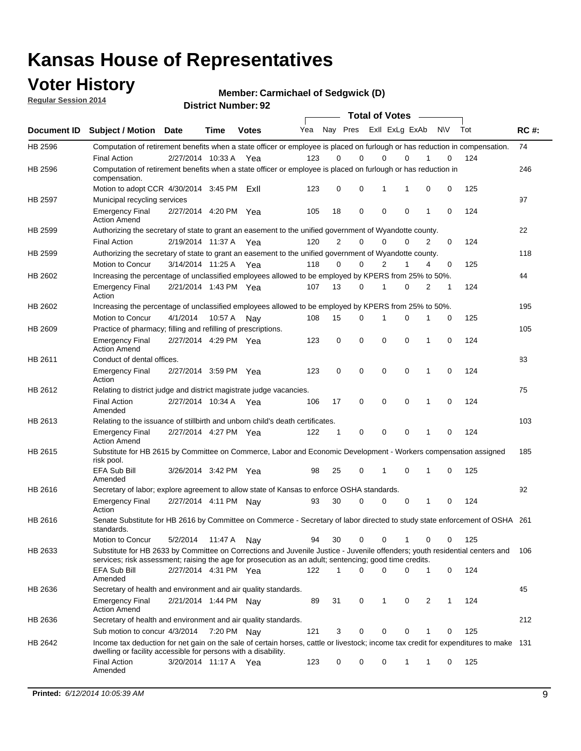### **Voter History**

**Regular Session 2014**

**Member: Carmichael of Sedgwick (D)** 

|                |                                                                                                                                                                                                                                       |                       |             | DISTICT MAILINGL. 32 |     |                |             | <b>Total of Votes</b> |              |           |   |     |             |
|----------------|---------------------------------------------------------------------------------------------------------------------------------------------------------------------------------------------------------------------------------------|-----------------------|-------------|----------------------|-----|----------------|-------------|-----------------------|--------------|-----------|---|-----|-------------|
| Document ID    | <b>Subject / Motion</b>                                                                                                                                                                                                               | <b>Date</b>           | Time        | <b>Votes</b>         | Yea |                | Nay Pres    | Exll ExLg ExAb        |              | <b>NV</b> |   | Tot | <b>RC#:</b> |
| HB 2596        | Computation of retirement benefits when a state officer or employee is placed on furlough or has reduction in compensation.                                                                                                           |                       |             |                      |     |                |             |                       |              |           |   |     | 74          |
|                | <b>Final Action</b>                                                                                                                                                                                                                   | 2/27/2014 10:33 A     |             | Yea                  | 123 | 0              | $\Omega$    | 0                     | $\Omega$     |           | 0 | 124 |             |
| HB 2596        | Computation of retirement benefits when a state officer or employee is placed on furlough or has reduction in<br>compensation.                                                                                                        |                       |             |                      |     |                |             |                       |              |           |   |     | 246         |
|                | Motion to adopt CCR $4/30/2014$ 3:45 PM                                                                                                                                                                                               |                       |             | ExII                 | 123 | 0              | 0           | 1                     | 1            | 0         | 0 | 125 |             |
| <b>HB 2597</b> | Municipal recycling services                                                                                                                                                                                                          |                       |             |                      |     |                |             |                       |              |           |   |     | 97          |
|                | <b>Emergency Final</b><br><b>Action Amend</b>                                                                                                                                                                                         | 2/27/2014 4:20 PM Yea |             |                      | 105 | 18             | $\mathbf 0$ | $\mathbf 0$           | $\mathbf 0$  | 1         | 0 | 124 |             |
| HB 2599        | Authorizing the secretary of state to grant an easement to the unified government of Wyandotte county.                                                                                                                                |                       |             |                      |     |                |             |                       |              |           |   |     | 22          |
|                | <b>Final Action</b>                                                                                                                                                                                                                   | 2/19/2014 11:37 A     |             | Yea                  | 120 | $\overline{2}$ | $\mathbf 0$ | 0                     | $\Omega$     | 2         | 0 | 124 |             |
| HB 2599        | Authorizing the secretary of state to grant an easement to the unified government of Wyandotte county.                                                                                                                                |                       |             |                      |     |                |             |                       |              |           |   |     | 118         |
|                | Motion to Concur                                                                                                                                                                                                                      | 3/14/2014 11:25 A     |             | Yea                  | 118 | $\Omega$       | 0           | $\overline{2}$        | 1            | 4         | 0 | 125 |             |
| HB 2602        | Increasing the percentage of unclassified employees allowed to be employed by KPERS from 25% to 50%.                                                                                                                                  |                       |             |                      |     |                |             |                       |              |           |   |     | 44          |
|                | <b>Emergency Final</b><br>Action                                                                                                                                                                                                      | 2/21/2014 1:43 PM Yea |             |                      | 107 | 13             | 0           | 1                     | $\Omega$     | 2         | 1 | 124 |             |
| HB 2602        | Increasing the percentage of unclassified employees allowed to be employed by KPERS from 25% to 50%.                                                                                                                                  |                       |             |                      |     |                |             |                       |              |           |   |     | 195         |
|                | Motion to Concur                                                                                                                                                                                                                      | 4/1/2014              | 10:57 A     | Nav                  | 108 | 15             | 0           | 1                     | 0            | 1         | 0 | 125 |             |
| HB 2609        | Practice of pharmacy; filling and refilling of prescriptions.                                                                                                                                                                         |                       |             |                      |     |                |             |                       |              |           |   |     | 105         |
|                | <b>Emergency Final</b><br><b>Action Amend</b>                                                                                                                                                                                         | 2/27/2014 4:29 PM Yea |             |                      | 123 | 0              | $\mathbf 0$ | $\mathbf 0$           | $\Omega$     | 1         | 0 | 124 |             |
| HB 2611        | Conduct of dental offices.                                                                                                                                                                                                            |                       |             |                      |     |                |             |                       |              |           |   |     | 83          |
|                | <b>Emergency Final</b><br>Action                                                                                                                                                                                                      | 2/27/2014 3:59 PM Yea |             |                      | 123 | 0              | $\mathbf 0$ | $\mathbf 0$           | $\mathbf 0$  | 1         | 0 | 124 |             |
| HB 2612        | Relating to district judge and district magistrate judge vacancies.                                                                                                                                                                   |                       |             |                      |     |                |             |                       |              |           |   |     | 75          |
|                | <b>Final Action</b><br>Amended                                                                                                                                                                                                        | 2/27/2014 10:34 A     |             | Yea                  | 106 | 17             | $\mathbf 0$ | $\mathbf 0$           | $\mathbf 0$  | 1         | 0 | 124 |             |
| HB 2613        | Relating to the issuance of stillbirth and unborn child's death certificates.                                                                                                                                                         |                       |             |                      |     |                |             |                       |              |           |   |     | 103         |
|                | <b>Emergency Final</b><br><b>Action Amend</b>                                                                                                                                                                                         | 2/27/2014 4:27 PM Yea |             |                      | 122 | 1              | 0           | $\mathbf 0$           | $\Omega$     | 1         | 0 | 124 |             |
| HB 2615        | Substitute for HB 2615 by Committee on Commerce, Labor and Economic Development - Workers compensation assigned<br>risk pool.                                                                                                         |                       |             |                      |     |                |             |                       |              |           |   |     | 185         |
|                | EFA Sub Bill<br>Amended                                                                                                                                                                                                               | 3/26/2014 3:42 PM Yea |             |                      | 98  | 25             | 0           | 1                     | $\mathbf 0$  | 1         | 0 | 125 |             |
| HB 2616        | Secretary of labor; explore agreement to allow state of Kansas to enforce OSHA standards.                                                                                                                                             |                       |             |                      |     |                |             |                       |              |           |   |     | 92          |
|                | <b>Emergency Final</b><br>Action                                                                                                                                                                                                      | 2/27/2014 4:11 PM Nay |             |                      | 93  | 30             | 0           | 0                     | 0            | 1         | 0 | 124 |             |
| HB 2616        | Senate Substitute for HB 2616 by Committee on Commerce - Secretary of labor directed to study state enforcement of OSHA 261<br>standards.                                                                                             |                       |             |                      |     |                |             |                       |              |           |   |     |             |
|                | Motion to Concur                                                                                                                                                                                                                      | 5/2/2014              | 11:47 A Nay |                      | 94  | 30             | 0           | 0                     | 1            | 0         | 0 | 125 |             |
| HB 2633        | Substitute for HB 2633 by Committee on Corrections and Juvenile Justice - Juvenile offenders; youth residential centers and<br>services; risk assessment; raising the age for prosecution as an adult; sentencing; good time credits. |                       |             |                      |     |                |             |                       |              |           |   |     | 106         |
|                | <b>EFA Sub Bill</b><br>Amended                                                                                                                                                                                                        | 2/27/2014 4:31 PM Yea |             |                      | 122 | 1              | 0           | $\Omega$              | 0            | 1         | 0 | 124 |             |
| HB 2636        | Secretary of health and environment and air quality standards.                                                                                                                                                                        |                       |             |                      |     |                |             |                       |              |           |   |     | 45          |
|                | <b>Emergency Final</b><br><b>Action Amend</b>                                                                                                                                                                                         | 2/21/2014 1:44 PM Nav |             |                      | 89  | 31             | 0           | 1                     | 0            | 2         | 1 | 124 |             |
| HB 2636        | Secretary of health and environment and air quality standards.                                                                                                                                                                        |                       |             |                      |     |                |             |                       |              |           |   |     | 212         |
|                | Sub motion to concur 4/3/2014                                                                                                                                                                                                         |                       | 7:20 PM Nav |                      | 121 | 3              | 0           | 0                     | 0            |           | 0 | 125 |             |
| HB 2642        | Income tax deduction for net gain on the sale of certain horses, cattle or livestock; income tax credit for expenditures to make 131                                                                                                  |                       |             |                      |     |                |             |                       |              |           |   |     |             |
|                | dwelling or facility accessible for persons with a disability.<br><b>Final Action</b>                                                                                                                                                 | 3/20/2014 11:17 A Yea |             |                      | 123 | 0              | 0           | 0                     | $\mathbf{1}$ | 1         | 0 | 125 |             |
|                | Amended                                                                                                                                                                                                                               |                       |             |                      |     |                |             |                       |              |           |   |     |             |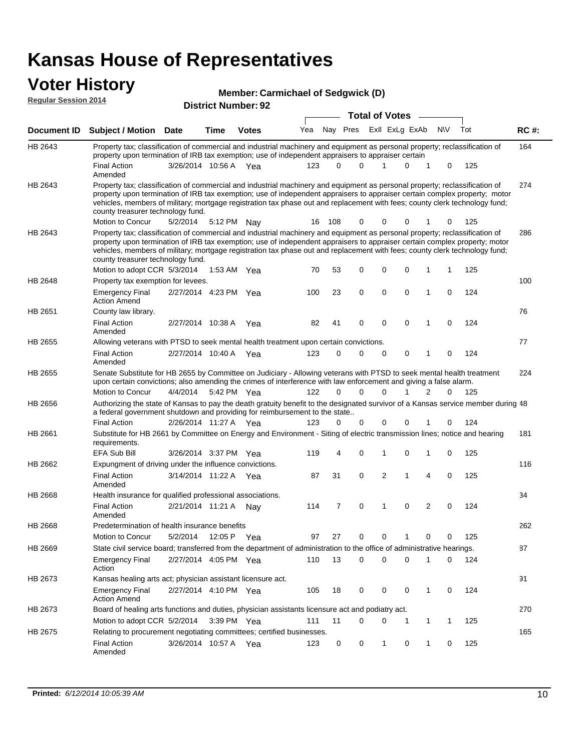#### **Voter History Member:**

| VULEI FIISLUI Y<br><b>Regular Session 2014</b> |                                                                                                                                                                                                                                                                                                                                                                                                                               |          |                       |                            | <b>Member: Carmichael of Sedgwick (D)</b> |          |                         |                       |             |   |             |     |             |
|------------------------------------------------|-------------------------------------------------------------------------------------------------------------------------------------------------------------------------------------------------------------------------------------------------------------------------------------------------------------------------------------------------------------------------------------------------------------------------------|----------|-----------------------|----------------------------|-------------------------------------------|----------|-------------------------|-----------------------|-------------|---|-------------|-----|-------------|
|                                                |                                                                                                                                                                                                                                                                                                                                                                                                                               |          |                       | <b>District Number: 92</b> |                                           |          |                         | <b>Total of Votes</b> |             |   |             |     |             |
| Document ID                                    | <b>Subject / Motion Date</b>                                                                                                                                                                                                                                                                                                                                                                                                  |          | Time                  | <b>Votes</b>               | Yea                                       |          | Nay Pres ExII ExLg ExAb |                       |             |   | <b>NV</b>   | Tot | <b>RC#:</b> |
| HB 2643                                        | Property tax; classification of commercial and industrial machinery and equipment as personal property; reclassification of<br>property upon termination of IRB tax exemption; use of independent appraisers to appraiser certain                                                                                                                                                                                             |          |                       |                            |                                           |          |                         |                       |             |   |             |     | 164         |
|                                                | <b>Final Action</b><br>Amended                                                                                                                                                                                                                                                                                                                                                                                                |          | 3/26/2014 10:56 A Yea |                            | 123                                       |          | 0<br>$\Omega$           | 1                     | $\Omega$    | 1 | $\mathbf 0$ | 125 |             |
| HB 2643                                        | Property tax; classification of commercial and industrial machinery and equipment as personal property; reclassification of<br>property upon termination of IRB tax exemption; use of independent appraisers to appraiser certain complex property; motor<br>vehicles, members of military; mortgage registration tax phase out and replacement with fees; county clerk technology fund;<br>county treasurer technology fund. |          |                       |                            |                                           |          |                         |                       |             |   |             |     | 274         |
|                                                | Motion to Concur                                                                                                                                                                                                                                                                                                                                                                                                              | 5/2/2014 |                       | 5:12 PM Nay                | 16                                        | 108      | $\Omega$                | 0                     | $\Omega$    |   | 0           | 125 |             |
| HB 2643                                        | Property tax; classification of commercial and industrial machinery and equipment as personal property; reclassification of<br>property upon termination of IRB tax exemption; use of independent appraisers to appraiser certain complex property; motor<br>vehicles, members of military; mortgage registration tax phase out and replacement with fees; county clerk technology fund;<br>county treasurer technology fund. |          |                       |                            |                                           |          |                         |                       |             |   |             |     | 286         |
|                                                | Motion to adopt CCR 5/3/2014                                                                                                                                                                                                                                                                                                                                                                                                  |          |                       | 1:53 AM Yea                | 70                                        | 53       | $\mathbf 0$             | 0                     | $\mathbf 0$ | 1 | 1           | 125 |             |
| HB 2648                                        | Property tax exemption for levees.                                                                                                                                                                                                                                                                                                                                                                                            |          |                       |                            |                                           |          |                         |                       |             |   |             |     | 100         |
|                                                | <b>Emergency Final</b><br><b>Action Amend</b>                                                                                                                                                                                                                                                                                                                                                                                 |          | 2/27/2014 4:23 PM Yea |                            | 100                                       | 23       | $\mathbf 0$             | $\mathbf 0$           | $\mathbf 0$ | 1 | $\mathbf 0$ | 124 |             |
| HB 2651                                        | County law library.                                                                                                                                                                                                                                                                                                                                                                                                           |          |                       |                            |                                           |          |                         |                       |             |   |             |     | 76          |
|                                                | <b>Final Action</b><br>Amended                                                                                                                                                                                                                                                                                                                                                                                                |          | 2/27/2014 10:38 A     | Yea                        | 82                                        | 41       | $\Omega$                | $\mathbf 0$           | $\mathbf 0$ | 1 | $\Omega$    | 124 |             |
| HB 2655                                        | Allowing veterans with PTSD to seek mental health treatment upon certain convictions.                                                                                                                                                                                                                                                                                                                                         |          |                       |                            |                                           |          |                         |                       |             |   |             |     | 77          |
|                                                | <b>Final Action</b><br>Amended                                                                                                                                                                                                                                                                                                                                                                                                |          | 2/27/2014 10:40 A Yea |                            | 123                                       | $\Omega$ | $\Omega$                | $\mathbf 0$           | $\mathbf 0$ | 1 | $\Omega$    | 124 |             |
| HB 2655                                        | Senate Substitute for HB 2655 by Committee on Judiciary - Allowing veterans with PTSD to seek mental health treatment<br>upon certain convictions; also amending the crimes of interference with law enforcement and giving a false alarm.                                                                                                                                                                                    |          |                       |                            |                                           |          |                         |                       |             |   |             |     | 224         |
|                                                | Motion to Concur                                                                                                                                                                                                                                                                                                                                                                                                              | 4/4/2014 |                       | 5:42 PM Yea                | 122                                       |          | $\Omega$<br>$\Omega$    | $\Omega$              |             | 2 | $\Omega$    | 125 |             |
| HB 2656                                        | Authorizing the state of Kansas to pay the death gratuity benefit to the designated survivor of a Kansas service member during 48<br>a federal government shutdown and providing for reimbursement to the state                                                                                                                                                                                                               |          |                       |                            |                                           |          |                         |                       |             |   |             |     |             |
|                                                | <b>Final Action</b>                                                                                                                                                                                                                                                                                                                                                                                                           |          | 2/26/2014 11:27 A Yea |                            | 123                                       |          | 0<br>$\Omega$           | 0                     | 0           | 1 | 0           | 124 |             |
| HB 2661                                        | Substitute for HB 2661 by Committee on Energy and Environment - Siting of electric transmission lines; notice and hearing<br>requirements.                                                                                                                                                                                                                                                                                    |          |                       |                            |                                           |          |                         |                       |             |   |             |     | 181         |
|                                                | <b>EFA Sub Bill</b>                                                                                                                                                                                                                                                                                                                                                                                                           |          | 3/26/2014 3:37 PM Yea |                            | 119                                       |          | $\mathbf 0$<br>4        | 1                     | $\mathbf 0$ | 1 | $\mathbf 0$ | 125 |             |
| HB 2662                                        | Expungment of driving under the influence convictions.                                                                                                                                                                                                                                                                                                                                                                        |          |                       |                            |                                           |          |                         |                       |             |   |             |     | 116         |
|                                                | <b>Final Action</b><br>Amended                                                                                                                                                                                                                                                                                                                                                                                                |          | 3/14/2014 11:22 A     | Yea                        | 87                                        | 31       | $\mathbf 0$             | $\overline{2}$        | 1           | 4 | $\mathbf 0$ | 125 |             |
| <b>HB 2668</b>                                 | Health insurance for qualified professional associations.                                                                                                                                                                                                                                                                                                                                                                     |          |                       |                            |                                           |          |                         |                       |             |   |             |     | 34          |
|                                                | <b>Final Action</b>                                                                                                                                                                                                                                                                                                                                                                                                           |          | 2/21/2014 11:21 A     | Nav                        | 114                                       |          | 7<br>0                  | $\mathbf{1}$          | 0           | 2 | 0           | 124 |             |

Motion to Concur 5/2/2014 12:05 P Yea 97 27 0 0 1 0 0 125

State civil service board; transferred from the department of administration to the office of administrative hearings.

2/27/2014 Emergency Final Yea 124 4:05 PM 110 13 0 0 10 0

Emergency Final 2/27/2014 4:10 PM Yea 405 18 0 0 0 1 0 124

Motion to adopt CCR 5/2/2014 3:39 PM Yea 111 11 0 0 1 1 1 125

Final Action 3/26/2014 10:57 A Yea 123 0 0 1 0 125

Board of healing arts functions and duties, physician assistants licensure act and podiatry act.

Amended

Action

Action Amend

Amended

Predetermination of health insurance benefits

Kansas healing arts act; physician assistant licensure act.

Relating to procurement negotiating committees; certified businesses.

HB 2668

HB 2669

HB 2673

HB 2673

HB 2675

262

87

91

270

165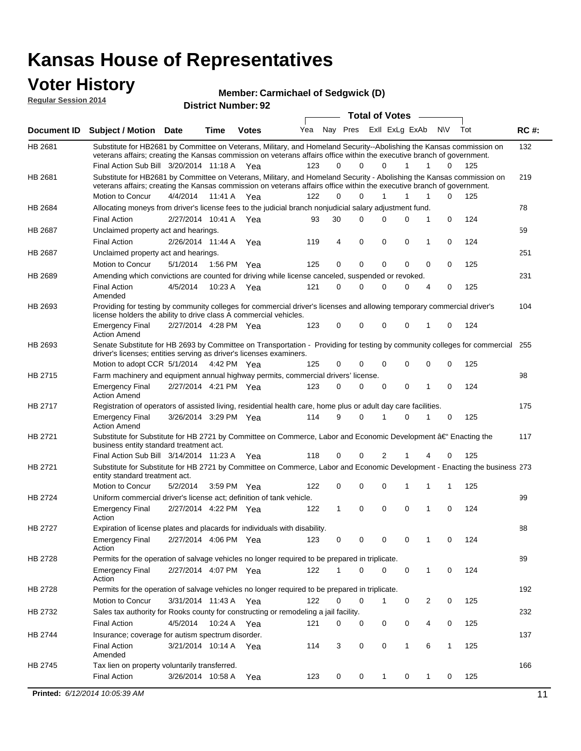#### **Voter History Regular Session 2014**

**Member: Carmichael of Sedgwick (D)** 

| noguidi ocoololi 4017 |                                                                                                                                                                                                                                                                                               |                       |             | <b>District Number: 92</b> |     |          |             |                       |             |        |              |     |             |
|-----------------------|-----------------------------------------------------------------------------------------------------------------------------------------------------------------------------------------------------------------------------------------------------------------------------------------------|-----------------------|-------------|----------------------------|-----|----------|-------------|-----------------------|-------------|--------|--------------|-----|-------------|
|                       |                                                                                                                                                                                                                                                                                               |                       |             |                            |     |          |             | <b>Total of Votes</b> |             | $\sim$ |              |     |             |
| Document ID           | <b>Subject / Motion Date</b>                                                                                                                                                                                                                                                                  |                       | <b>Time</b> | <b>Votes</b>               | Yea | Nay Pres |             | ExII ExLg ExAb        |             |        | N\V          | Tot | <b>RC#:</b> |
| HB 2681               | Substitute for HB2681 by Committee on Veterans, Military, and Homeland Security--Abolishing the Kansas commission on<br>veterans affairs; creating the Kansas commission on veterans affairs office within the executive branch of government.<br>Final Action Sub Bill 3/20/2014 11:18 A Yea |                       |             |                            | 123 | $\Omega$ | 0           | 0                     | 1           | 1      | 0            | 125 | 132         |
|                       |                                                                                                                                                                                                                                                                                               |                       |             |                            |     |          |             |                       |             |        |              |     |             |
| HB 2681               | Substitute for HB2681 by Committee on Veterans, Military, and Homeland Security - Abolishing the Kansas commission on<br>veterans affairs; creating the Kansas commission on veterans affairs office within the executive branch of government.                                               |                       |             |                            |     |          |             |                       |             |        |              |     | 219         |
|                       | Motion to Concur                                                                                                                                                                                                                                                                              | 4/4/2014              | 11:41 A     | Yea                        | 122 | $\Omega$ | 0           | 1                     | 1           | 1      | 0            | 125 |             |
| HB 2684               | Allocating moneys from driver's license fees to the judicial branch nonjudicial salary adjustment fund.                                                                                                                                                                                       |                       |             |                            |     |          |             |                       |             |        |              |     | 78          |
|                       | <b>Final Action</b>                                                                                                                                                                                                                                                                           | 2/27/2014 10:41 A     |             | Yea                        | 93  | 30       | 0           | $\Omega$              | 0           | 1      | 0            | 124 |             |
| HB 2687               | Unclaimed property act and hearings.                                                                                                                                                                                                                                                          |                       |             |                            |     |          |             |                       |             |        |              |     | 59          |
|                       | <b>Final Action</b>                                                                                                                                                                                                                                                                           | 2/26/2014 11:44 A     |             | Yea                        | 119 | 4        | $\mathbf 0$ | 0                     | 0           | 1      | 0            | 124 |             |
| HB 2687               | Unclaimed property act and hearings.                                                                                                                                                                                                                                                          |                       |             |                            |     |          |             |                       |             |        |              |     | 251         |
|                       | Motion to Concur                                                                                                                                                                                                                                                                              | 5/1/2014              | 1:56 PM     | Yea                        | 125 | 0        | $\mathbf 0$ | 0                     | $\mathbf 0$ | 0      | 0            | 125 |             |
| HB 2689               | Amending which convictions are counted for driving while license canceled, suspended or revoked.                                                                                                                                                                                              |                       |             |                            |     |          |             |                       |             |        |              |     | 231         |
|                       | <b>Final Action</b><br>Amended                                                                                                                                                                                                                                                                | 4/5/2014              | 10:23 A     | Yea                        | 121 | 0        | 0           | $\Omega$              | 0           | 4      | 0            | 125 |             |
| HB 2693               | Providing for testing by community colleges for commercial driver's licenses and allowing temporary commercial driver's<br>license holders the ability to drive class A commercial vehicles.                                                                                                  |                       |             |                            |     |          |             |                       |             |        |              |     | 104         |
|                       | Emergency Final<br><b>Action Amend</b>                                                                                                                                                                                                                                                        | 2/27/2014 4:28 PM Yea |             |                            | 123 | 0        | 0           | $\Omega$              | $\mathbf 0$ | 1      | 0            | 124 |             |
| HB 2693               | Senate Substitute for HB 2693 by Committee on Transportation - Providing for testing by community colleges for commercial 255<br>driver's licenses; entities serving as driver's licenses examiners.                                                                                          |                       |             |                            |     |          |             |                       |             |        |              |     |             |
|                       | Motion to adopt CCR 5/1/2014 4:42 PM Yea                                                                                                                                                                                                                                                      |                       |             |                            | 125 | 0        | 0           | 0                     | 0           | 0      | 0            | 125 |             |
| HB 2715               | Farm machinery and equipment annual highway permits, commercial drivers' license.                                                                                                                                                                                                             |                       |             |                            |     |          |             |                       |             |        |              |     | 98          |
|                       | Emergency Final<br><b>Action Amend</b>                                                                                                                                                                                                                                                        | 2/27/2014 4:21 PM Yea |             |                            | 123 | 0        | 0           | 0                     | 0           | 1      | 0            | 124 |             |
| HB 2717               | Registration of operators of assisted living, residential health care, home plus or adult day care facilities.                                                                                                                                                                                |                       |             |                            |     |          |             |                       |             |        |              |     | 175         |
|                       | Emergency Final<br>Action Amend                                                                                                                                                                                                                                                               | 3/26/2014 3:29 PM Yea |             |                            | 114 | 9        | 0           |                       | 0           |        | 0            | 125 |             |
| HB 2721               | Substitute for Substitute for HB 2721 by Committee on Commerce, Labor and Economic Development †Enacting the<br>business entity standard treatment act.                                                                                                                                       |                       |             |                            |     |          |             |                       |             |        |              |     | 117         |
|                       | Final Action Sub Bill 3/14/2014 11:23 A Yea                                                                                                                                                                                                                                                   |                       |             |                            | 118 | 0        | 0           | 2                     |             | 4      | 0            | 125 |             |
| HB 2721               | Substitute for Substitute for HB 2721 by Committee on Commerce, Labor and Economic Development - Enacting the business 273<br>entity standard treatment act.                                                                                                                                  |                       |             |                            |     |          |             |                       |             |        |              |     |             |
|                       | Motion to Concur                                                                                                                                                                                                                                                                              | 5/2/2014              | 3:59 PM     | Yea                        | 122 | 0        | 0           | $\mathbf 0$           | 1           | 1      | 1            | 125 |             |
| HB 2724               | Uniform commercial driver's license act; definition of tank vehicle.<br><b>Emergency Final</b>                                                                                                                                                                                                | 2/27/2014 4:22 PM Yea |             |                            | 122 | 1        | 0           | 0                     | $\mathbf 0$ | 1      | 0            | 124 | 99          |
|                       | Action                                                                                                                                                                                                                                                                                        |                       |             |                            |     |          |             |                       |             |        |              |     |             |
| HB 2727               | Expiration of license plates and placards for individuals with disability.                                                                                                                                                                                                                    |                       |             |                            |     |          |             |                       |             |        |              |     | 88          |
|                       | Emergency Final<br>Action                                                                                                                                                                                                                                                                     | 2/27/2014 4:06 PM Yea |             |                            | 123 | 0        | 0           | 0                     | 0           | 1      | 0            | 124 |             |
| HB 2728               | Permits for the operation of salvage vehicles no longer required to be prepared in triplicate.                                                                                                                                                                                                |                       |             |                            |     |          |             |                       |             |        |              |     | 89          |
|                       | <b>Emergency Final</b><br>Action                                                                                                                                                                                                                                                              | 2/27/2014 4:07 PM Yea |             |                            | 122 |          | 0           | 0                     | 0           | 1      | 0            | 124 |             |
| HB 2728               | Permits for the operation of salvage vehicles no longer required to be prepared in triplicate.                                                                                                                                                                                                |                       |             |                            |     |          |             |                       |             |        |              |     | 192         |
|                       | Motion to Concur                                                                                                                                                                                                                                                                              | 3/31/2014 11:43 A Yea |             |                            | 122 | 0        | 0           | 1                     | 0           | 2      | 0            | 125 |             |
| HB 2732               | Sales tax authority for Rooks county for constructing or remodeling a jail facility.                                                                                                                                                                                                          |                       |             |                            |     |          |             |                       |             |        |              |     | 232         |
|                       | Final Action                                                                                                                                                                                                                                                                                  | 4/5/2014              |             | 10:24 A Yea                | 121 | 0        | 0           | 0                     | 0           | 4      | 0            | 125 |             |
|                       | Insurance; coverage for autism spectrum disorder.                                                                                                                                                                                                                                             |                       |             |                            |     |          |             |                       |             |        |              |     | 137         |
|                       |                                                                                                                                                                                                                                                                                               |                       |             |                            | 114 | 3        | 0           | 0                     | 1           | 6      | $\mathbf{1}$ | 125 |             |
|                       | <b>Final Action</b><br>Amended                                                                                                                                                                                                                                                                | 3/21/2014 10:14 A Yea |             |                            |     |          |             |                       |             |        |              |     |             |
| HB 2744<br>HB 2745    | Tax lien on property voluntarily transferred.                                                                                                                                                                                                                                                 |                       |             |                            |     |          |             |                       |             |        |              |     | 166         |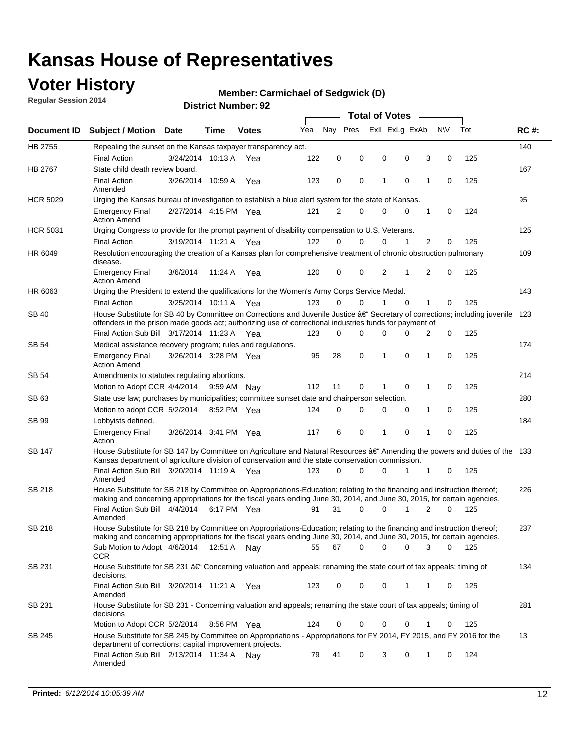### **Voter History**

**Regular Session 2014**

#### **Member: Carmichael of Sedgwick (D)**

| Nav Pres<br>Exll ExLg ExAb<br>N\V<br>Tot<br>Yea<br><b>RC#:</b><br>Document ID Subject / Motion Date<br>Time<br><b>Votes</b><br>HB 2755<br>140<br>Repealing the sunset on the Kansas taxpayer transparency act.<br>0<br>3<br>125<br><b>Final Action</b><br>3/24/2014 10:13 A<br>122<br>0<br>0<br>0<br>0<br>Yea<br>State child death review board.<br>167<br>HB 2767<br><b>Final Action</b><br>0<br>$\mathbf 0$<br>1<br>125<br>3/26/2014 10:59 A<br>123<br>0<br>1<br>0<br>Yea<br>Amended<br>95<br>Urging the Kansas bureau of investigation to establish a blue alert system for the state of Kansas.<br>2/27/2014 4:15 PM Yea<br>121<br>2<br>0<br>0<br>0<br>1<br>0<br>124<br><b>Emergency Final</b><br><b>Action Amend</b><br><b>HCR 5031</b><br>Urging Congress to provide for the prompt payment of disability compensation to U.S. Veterans.<br>125<br>$\overline{2}$<br>122<br>$\Omega$<br>0<br>0<br>125<br><b>Final Action</b><br>3/19/2014 11:21 A Yea<br>1<br>0<br>HR 6049<br>Resolution encouraging the creation of a Kansas plan for comprehensive treatment of chronic obstruction pulmonary<br>109<br>disease.<br>120<br>0<br>0<br>2<br>1<br>2<br>$\mathbf 0$<br>125<br><b>Emergency Final</b><br>3/6/2014<br>11:24 A<br>Yea<br><b>Action Amend</b><br>143<br>HR 6063<br>Urging the President to extend the qualifications for the Women's Army Corps Service Medal.<br>123<br>$\Omega$<br>$\Omega$<br>$\Omega$<br>1<br>125<br><b>Final Action</b><br>3/25/2014 10:11 A Yea<br>1<br>0<br>House Substitute for SB 40 by Committee on Corrections and Juvenile Justice †Secretary of corrections; including juvenile<br><b>SB 40</b><br>123<br>offenders in the prison made goods act; authorizing use of correctional industries funds for payment of<br>Final Action Sub Bill 3/17/2014 11:23 A Yea<br>0<br>0<br>125<br>123<br>0<br>0<br>$\Omega$<br>2<br>174<br>SB 54<br>Medical assistance recovery program; rules and regulations.<br>$\mathbf 0$<br>3/26/2014 3:28 PM Yea<br>95<br>28<br>1<br>0<br>$\mathbf{1}$<br>0<br>125<br><b>Emergency Final</b><br><b>Action Amend</b><br>214<br>SB 54<br>Amendments to statutes regulating abortions.<br>125<br>112<br>11<br>0<br>$\mathbf 0$<br>1<br>0<br>Motion to Adopt CCR 4/4/2014<br>9:59 AM Nay<br>State use law; purchases by municipalities; committee sunset date and chairperson selection.<br>280<br>SB 63<br>Motion to adopt CCR 5/2/2014<br>0<br>0<br>0<br>0<br>1<br>0<br>125<br>8:52 PM Yea<br>124<br>184<br>SB 99<br>Lobbyists defined.<br>6<br>0<br>$\mathbf 0$<br>1<br>0<br>125<br><b>Emergency Final</b><br>3/26/2014 3:41 PM Yea<br>117<br>1<br>Action<br>House Substitute for SB 147 by Committee on Agriculture and Natural Resources †Amending the powers and duties of the 133<br>SB 147<br>Kansas department of agriculture division of conservation and the state conservation commission.<br>0<br>125<br>Final Action Sub Bill 3/20/2014 11:19 A Yea<br>123<br>0<br>0<br>1<br>1<br>0<br>Amended<br>SB 218<br>House Substitute for SB 218 by Committee on Appropriations-Education; relating to the financing and instruction thereof;<br>226<br>making and concerning appropriations for the fiscal years ending June 30, 2014, and June 30, 2015, for certain agencies.<br>Final Action Sub Bill 4/4/2014<br>31<br>$\Omega$<br>0<br>1<br>2<br>$\Omega$<br>125<br>6:17 PM Yea<br>91<br>Amended<br>SB 218<br>House Substitute for SB 218 by Committee on Appropriations-Education; relating to the financing and instruction thereof;<br>237<br>making and concerning appropriations for the fiscal years ending June 30, 2014, and June 30, 2015, for certain agencies.<br>67<br>0<br>0<br>Sub Motion to Adopt 4/6/2014 12:51 A Nay<br>55<br>0<br>3<br>0<br>125<br>CCR<br>134<br>SB 231<br>House Substitute for SB 231 †Concerning valuation and appeals; renaming the state court of tax appeals; timing of<br>decisions.<br>Final Action Sub Bill 3/20/2014 11:21 A Yea<br>123<br>0<br>0<br>0<br>1<br>125<br>1<br>0<br>Amended<br>SB 231<br>House Substitute for SB 231 - Concerning valuation and appeals; renaming the state court of tax appeals; timing of<br>281<br>decisions<br>125<br>Motion to Adopt CCR 5/2/2014<br>8:56 PM Yea<br>124<br>0<br>0<br>0<br>0<br>1<br>0<br>House Substitute for SB 245 by Committee on Appropriations - Appropriations for FY 2014, FY 2015, and FY 2016 for the<br>13<br>SB 245<br>department of corrections; capital improvement projects.<br>Final Action Sub Bill 2/13/2014 11:34 A Nay<br>79<br>41<br>0<br>3<br>0<br>124<br>1<br>0<br>Amended |                 |  |  |  |  |  | <b>Total of Votes</b> |  |  |  |  |  |  |  |  |  |  |  |  |
|----------------------------------------------------------------------------------------------------------------------------------------------------------------------------------------------------------------------------------------------------------------------------------------------------------------------------------------------------------------------------------------------------------------------------------------------------------------------------------------------------------------------------------------------------------------------------------------------------------------------------------------------------------------------------------------------------------------------------------------------------------------------------------------------------------------------------------------------------------------------------------------------------------------------------------------------------------------------------------------------------------------------------------------------------------------------------------------------------------------------------------------------------------------------------------------------------------------------------------------------------------------------------------------------------------------------------------------------------------------------------------------------------------------------------------------------------------------------------------------------------------------------------------------------------------------------------------------------------------------------------------------------------------------------------------------------------------------------------------------------------------------------------------------------------------------------------------------------------------------------------------------------------------------------------------------------------------------------------------------------------------------------------------------------------------------------------------------------------------------------------------------------------------------------------------------------------------------------------------------------------------------------------------------------------------------------------------------------------------------------------------------------------------------------------------------------------------------------------------------------------------------------------------------------------------------------------------------------------------------------------------------------------------------------------------------------------------------------------------------------------------------------------------------------------------------------------------------------------------------------------------------------------------------------------------------------------------------------------------------------------------------------------------------------------------------------------------------------------------------------------------------------------------------------------------------------------------------------------------------------------------------------------------------------------------------------------------------------------------------------------------------------------------------------------------------------------------------------------------------------------------------------------------------------------------------------------------------------------------------------------------------------------------------------------------------------------------------------------------------------------------------------------------------------------------------------------------------------------------------------------------------------------------------------------------------------------------------------------------------------------------------------------------------------------------------------------------------------------------------------------------------------------------------------------------------------------------------------------------------------------------------------------------------------------------------------------------------------------------------------------------------------------------------------------------------------------------------------------------------------------------------------------------------------------------------------------|-----------------|--|--|--|--|--|-----------------------|--|--|--|--|--|--|--|--|--|--|--|--|
|                                                                                                                                                                                                                                                                                                                                                                                                                                                                                                                                                                                                                                                                                                                                                                                                                                                                                                                                                                                                                                                                                                                                                                                                                                                                                                                                                                                                                                                                                                                                                                                                                                                                                                                                                                                                                                                                                                                                                                                                                                                                                                                                                                                                                                                                                                                                                                                                                                                                                                                                                                                                                                                                                                                                                                                                                                                                                                                                                                                                                                                                                                                                                                                                                                                                                                                                                                                                                                                                                                                                                                                                                                                                                                                                                                                                                                                                                                                                                                                                                                                                                                                                                                                                                                                                                                                                                                                                                                                                                                                                                                            |                 |  |  |  |  |  |                       |  |  |  |  |  |  |  |  |  |  |  |  |
|                                                                                                                                                                                                                                                                                                                                                                                                                                                                                                                                                                                                                                                                                                                                                                                                                                                                                                                                                                                                                                                                                                                                                                                                                                                                                                                                                                                                                                                                                                                                                                                                                                                                                                                                                                                                                                                                                                                                                                                                                                                                                                                                                                                                                                                                                                                                                                                                                                                                                                                                                                                                                                                                                                                                                                                                                                                                                                                                                                                                                                                                                                                                                                                                                                                                                                                                                                                                                                                                                                                                                                                                                                                                                                                                                                                                                                                                                                                                                                                                                                                                                                                                                                                                                                                                                                                                                                                                                                                                                                                                                                            |                 |  |  |  |  |  |                       |  |  |  |  |  |  |  |  |  |  |  |  |
|                                                                                                                                                                                                                                                                                                                                                                                                                                                                                                                                                                                                                                                                                                                                                                                                                                                                                                                                                                                                                                                                                                                                                                                                                                                                                                                                                                                                                                                                                                                                                                                                                                                                                                                                                                                                                                                                                                                                                                                                                                                                                                                                                                                                                                                                                                                                                                                                                                                                                                                                                                                                                                                                                                                                                                                                                                                                                                                                                                                                                                                                                                                                                                                                                                                                                                                                                                                                                                                                                                                                                                                                                                                                                                                                                                                                                                                                                                                                                                                                                                                                                                                                                                                                                                                                                                                                                                                                                                                                                                                                                                            |                 |  |  |  |  |  |                       |  |  |  |  |  |  |  |  |  |  |  |  |
|                                                                                                                                                                                                                                                                                                                                                                                                                                                                                                                                                                                                                                                                                                                                                                                                                                                                                                                                                                                                                                                                                                                                                                                                                                                                                                                                                                                                                                                                                                                                                                                                                                                                                                                                                                                                                                                                                                                                                                                                                                                                                                                                                                                                                                                                                                                                                                                                                                                                                                                                                                                                                                                                                                                                                                                                                                                                                                                                                                                                                                                                                                                                                                                                                                                                                                                                                                                                                                                                                                                                                                                                                                                                                                                                                                                                                                                                                                                                                                                                                                                                                                                                                                                                                                                                                                                                                                                                                                                                                                                                                                            |                 |  |  |  |  |  |                       |  |  |  |  |  |  |  |  |  |  |  |  |
|                                                                                                                                                                                                                                                                                                                                                                                                                                                                                                                                                                                                                                                                                                                                                                                                                                                                                                                                                                                                                                                                                                                                                                                                                                                                                                                                                                                                                                                                                                                                                                                                                                                                                                                                                                                                                                                                                                                                                                                                                                                                                                                                                                                                                                                                                                                                                                                                                                                                                                                                                                                                                                                                                                                                                                                                                                                                                                                                                                                                                                                                                                                                                                                                                                                                                                                                                                                                                                                                                                                                                                                                                                                                                                                                                                                                                                                                                                                                                                                                                                                                                                                                                                                                                                                                                                                                                                                                                                                                                                                                                                            |                 |  |  |  |  |  |                       |  |  |  |  |  |  |  |  |  |  |  |  |
|                                                                                                                                                                                                                                                                                                                                                                                                                                                                                                                                                                                                                                                                                                                                                                                                                                                                                                                                                                                                                                                                                                                                                                                                                                                                                                                                                                                                                                                                                                                                                                                                                                                                                                                                                                                                                                                                                                                                                                                                                                                                                                                                                                                                                                                                                                                                                                                                                                                                                                                                                                                                                                                                                                                                                                                                                                                                                                                                                                                                                                                                                                                                                                                                                                                                                                                                                                                                                                                                                                                                                                                                                                                                                                                                                                                                                                                                                                                                                                                                                                                                                                                                                                                                                                                                                                                                                                                                                                                                                                                                                                            | <b>HCR 5029</b> |  |  |  |  |  |                       |  |  |  |  |  |  |  |  |  |  |  |  |
|                                                                                                                                                                                                                                                                                                                                                                                                                                                                                                                                                                                                                                                                                                                                                                                                                                                                                                                                                                                                                                                                                                                                                                                                                                                                                                                                                                                                                                                                                                                                                                                                                                                                                                                                                                                                                                                                                                                                                                                                                                                                                                                                                                                                                                                                                                                                                                                                                                                                                                                                                                                                                                                                                                                                                                                                                                                                                                                                                                                                                                                                                                                                                                                                                                                                                                                                                                                                                                                                                                                                                                                                                                                                                                                                                                                                                                                                                                                                                                                                                                                                                                                                                                                                                                                                                                                                                                                                                                                                                                                                                                            |                 |  |  |  |  |  |                       |  |  |  |  |  |  |  |  |  |  |  |  |
|                                                                                                                                                                                                                                                                                                                                                                                                                                                                                                                                                                                                                                                                                                                                                                                                                                                                                                                                                                                                                                                                                                                                                                                                                                                                                                                                                                                                                                                                                                                                                                                                                                                                                                                                                                                                                                                                                                                                                                                                                                                                                                                                                                                                                                                                                                                                                                                                                                                                                                                                                                                                                                                                                                                                                                                                                                                                                                                                                                                                                                                                                                                                                                                                                                                                                                                                                                                                                                                                                                                                                                                                                                                                                                                                                                                                                                                                                                                                                                                                                                                                                                                                                                                                                                                                                                                                                                                                                                                                                                                                                                            |                 |  |  |  |  |  |                       |  |  |  |  |  |  |  |  |  |  |  |  |
|                                                                                                                                                                                                                                                                                                                                                                                                                                                                                                                                                                                                                                                                                                                                                                                                                                                                                                                                                                                                                                                                                                                                                                                                                                                                                                                                                                                                                                                                                                                                                                                                                                                                                                                                                                                                                                                                                                                                                                                                                                                                                                                                                                                                                                                                                                                                                                                                                                                                                                                                                                                                                                                                                                                                                                                                                                                                                                                                                                                                                                                                                                                                                                                                                                                                                                                                                                                                                                                                                                                                                                                                                                                                                                                                                                                                                                                                                                                                                                                                                                                                                                                                                                                                                                                                                                                                                                                                                                                                                                                                                                            |                 |  |  |  |  |  |                       |  |  |  |  |  |  |  |  |  |  |  |  |
|                                                                                                                                                                                                                                                                                                                                                                                                                                                                                                                                                                                                                                                                                                                                                                                                                                                                                                                                                                                                                                                                                                                                                                                                                                                                                                                                                                                                                                                                                                                                                                                                                                                                                                                                                                                                                                                                                                                                                                                                                                                                                                                                                                                                                                                                                                                                                                                                                                                                                                                                                                                                                                                                                                                                                                                                                                                                                                                                                                                                                                                                                                                                                                                                                                                                                                                                                                                                                                                                                                                                                                                                                                                                                                                                                                                                                                                                                                                                                                                                                                                                                                                                                                                                                                                                                                                                                                                                                                                                                                                                                                            |                 |  |  |  |  |  |                       |  |  |  |  |  |  |  |  |  |  |  |  |
|                                                                                                                                                                                                                                                                                                                                                                                                                                                                                                                                                                                                                                                                                                                                                                                                                                                                                                                                                                                                                                                                                                                                                                                                                                                                                                                                                                                                                                                                                                                                                                                                                                                                                                                                                                                                                                                                                                                                                                                                                                                                                                                                                                                                                                                                                                                                                                                                                                                                                                                                                                                                                                                                                                                                                                                                                                                                                                                                                                                                                                                                                                                                                                                                                                                                                                                                                                                                                                                                                                                                                                                                                                                                                                                                                                                                                                                                                                                                                                                                                                                                                                                                                                                                                                                                                                                                                                                                                                                                                                                                                                            |                 |  |  |  |  |  |                       |  |  |  |  |  |  |  |  |  |  |  |  |
|                                                                                                                                                                                                                                                                                                                                                                                                                                                                                                                                                                                                                                                                                                                                                                                                                                                                                                                                                                                                                                                                                                                                                                                                                                                                                                                                                                                                                                                                                                                                                                                                                                                                                                                                                                                                                                                                                                                                                                                                                                                                                                                                                                                                                                                                                                                                                                                                                                                                                                                                                                                                                                                                                                                                                                                                                                                                                                                                                                                                                                                                                                                                                                                                                                                                                                                                                                                                                                                                                                                                                                                                                                                                                                                                                                                                                                                                                                                                                                                                                                                                                                                                                                                                                                                                                                                                                                                                                                                                                                                                                                            |                 |  |  |  |  |  |                       |  |  |  |  |  |  |  |  |  |  |  |  |
|                                                                                                                                                                                                                                                                                                                                                                                                                                                                                                                                                                                                                                                                                                                                                                                                                                                                                                                                                                                                                                                                                                                                                                                                                                                                                                                                                                                                                                                                                                                                                                                                                                                                                                                                                                                                                                                                                                                                                                                                                                                                                                                                                                                                                                                                                                                                                                                                                                                                                                                                                                                                                                                                                                                                                                                                                                                                                                                                                                                                                                                                                                                                                                                                                                                                                                                                                                                                                                                                                                                                                                                                                                                                                                                                                                                                                                                                                                                                                                                                                                                                                                                                                                                                                                                                                                                                                                                                                                                                                                                                                                            |                 |  |  |  |  |  |                       |  |  |  |  |  |  |  |  |  |  |  |  |
|                                                                                                                                                                                                                                                                                                                                                                                                                                                                                                                                                                                                                                                                                                                                                                                                                                                                                                                                                                                                                                                                                                                                                                                                                                                                                                                                                                                                                                                                                                                                                                                                                                                                                                                                                                                                                                                                                                                                                                                                                                                                                                                                                                                                                                                                                                                                                                                                                                                                                                                                                                                                                                                                                                                                                                                                                                                                                                                                                                                                                                                                                                                                                                                                                                                                                                                                                                                                                                                                                                                                                                                                                                                                                                                                                                                                                                                                                                                                                                                                                                                                                                                                                                                                                                                                                                                                                                                                                                                                                                                                                                            |                 |  |  |  |  |  |                       |  |  |  |  |  |  |  |  |  |  |  |  |
|                                                                                                                                                                                                                                                                                                                                                                                                                                                                                                                                                                                                                                                                                                                                                                                                                                                                                                                                                                                                                                                                                                                                                                                                                                                                                                                                                                                                                                                                                                                                                                                                                                                                                                                                                                                                                                                                                                                                                                                                                                                                                                                                                                                                                                                                                                                                                                                                                                                                                                                                                                                                                                                                                                                                                                                                                                                                                                                                                                                                                                                                                                                                                                                                                                                                                                                                                                                                                                                                                                                                                                                                                                                                                                                                                                                                                                                                                                                                                                                                                                                                                                                                                                                                                                                                                                                                                                                                                                                                                                                                                                            |                 |  |  |  |  |  |                       |  |  |  |  |  |  |  |  |  |  |  |  |
|                                                                                                                                                                                                                                                                                                                                                                                                                                                                                                                                                                                                                                                                                                                                                                                                                                                                                                                                                                                                                                                                                                                                                                                                                                                                                                                                                                                                                                                                                                                                                                                                                                                                                                                                                                                                                                                                                                                                                                                                                                                                                                                                                                                                                                                                                                                                                                                                                                                                                                                                                                                                                                                                                                                                                                                                                                                                                                                                                                                                                                                                                                                                                                                                                                                                                                                                                                                                                                                                                                                                                                                                                                                                                                                                                                                                                                                                                                                                                                                                                                                                                                                                                                                                                                                                                                                                                                                                                                                                                                                                                                            |                 |  |  |  |  |  |                       |  |  |  |  |  |  |  |  |  |  |  |  |
|                                                                                                                                                                                                                                                                                                                                                                                                                                                                                                                                                                                                                                                                                                                                                                                                                                                                                                                                                                                                                                                                                                                                                                                                                                                                                                                                                                                                                                                                                                                                                                                                                                                                                                                                                                                                                                                                                                                                                                                                                                                                                                                                                                                                                                                                                                                                                                                                                                                                                                                                                                                                                                                                                                                                                                                                                                                                                                                                                                                                                                                                                                                                                                                                                                                                                                                                                                                                                                                                                                                                                                                                                                                                                                                                                                                                                                                                                                                                                                                                                                                                                                                                                                                                                                                                                                                                                                                                                                                                                                                                                                            |                 |  |  |  |  |  |                       |  |  |  |  |  |  |  |  |  |  |  |  |
|                                                                                                                                                                                                                                                                                                                                                                                                                                                                                                                                                                                                                                                                                                                                                                                                                                                                                                                                                                                                                                                                                                                                                                                                                                                                                                                                                                                                                                                                                                                                                                                                                                                                                                                                                                                                                                                                                                                                                                                                                                                                                                                                                                                                                                                                                                                                                                                                                                                                                                                                                                                                                                                                                                                                                                                                                                                                                                                                                                                                                                                                                                                                                                                                                                                                                                                                                                                                                                                                                                                                                                                                                                                                                                                                                                                                                                                                                                                                                                                                                                                                                                                                                                                                                                                                                                                                                                                                                                                                                                                                                                            |                 |  |  |  |  |  |                       |  |  |  |  |  |  |  |  |  |  |  |  |
|                                                                                                                                                                                                                                                                                                                                                                                                                                                                                                                                                                                                                                                                                                                                                                                                                                                                                                                                                                                                                                                                                                                                                                                                                                                                                                                                                                                                                                                                                                                                                                                                                                                                                                                                                                                                                                                                                                                                                                                                                                                                                                                                                                                                                                                                                                                                                                                                                                                                                                                                                                                                                                                                                                                                                                                                                                                                                                                                                                                                                                                                                                                                                                                                                                                                                                                                                                                                                                                                                                                                                                                                                                                                                                                                                                                                                                                                                                                                                                                                                                                                                                                                                                                                                                                                                                                                                                                                                                                                                                                                                                            |                 |  |  |  |  |  |                       |  |  |  |  |  |  |  |  |  |  |  |  |
|                                                                                                                                                                                                                                                                                                                                                                                                                                                                                                                                                                                                                                                                                                                                                                                                                                                                                                                                                                                                                                                                                                                                                                                                                                                                                                                                                                                                                                                                                                                                                                                                                                                                                                                                                                                                                                                                                                                                                                                                                                                                                                                                                                                                                                                                                                                                                                                                                                                                                                                                                                                                                                                                                                                                                                                                                                                                                                                                                                                                                                                                                                                                                                                                                                                                                                                                                                                                                                                                                                                                                                                                                                                                                                                                                                                                                                                                                                                                                                                                                                                                                                                                                                                                                                                                                                                                                                                                                                                                                                                                                                            |                 |  |  |  |  |  |                       |  |  |  |  |  |  |  |  |  |  |  |  |
|                                                                                                                                                                                                                                                                                                                                                                                                                                                                                                                                                                                                                                                                                                                                                                                                                                                                                                                                                                                                                                                                                                                                                                                                                                                                                                                                                                                                                                                                                                                                                                                                                                                                                                                                                                                                                                                                                                                                                                                                                                                                                                                                                                                                                                                                                                                                                                                                                                                                                                                                                                                                                                                                                                                                                                                                                                                                                                                                                                                                                                                                                                                                                                                                                                                                                                                                                                                                                                                                                                                                                                                                                                                                                                                                                                                                                                                                                                                                                                                                                                                                                                                                                                                                                                                                                                                                                                                                                                                                                                                                                                            |                 |  |  |  |  |  |                       |  |  |  |  |  |  |  |  |  |  |  |  |
|                                                                                                                                                                                                                                                                                                                                                                                                                                                                                                                                                                                                                                                                                                                                                                                                                                                                                                                                                                                                                                                                                                                                                                                                                                                                                                                                                                                                                                                                                                                                                                                                                                                                                                                                                                                                                                                                                                                                                                                                                                                                                                                                                                                                                                                                                                                                                                                                                                                                                                                                                                                                                                                                                                                                                                                                                                                                                                                                                                                                                                                                                                                                                                                                                                                                                                                                                                                                                                                                                                                                                                                                                                                                                                                                                                                                                                                                                                                                                                                                                                                                                                                                                                                                                                                                                                                                                                                                                                                                                                                                                                            |                 |  |  |  |  |  |                       |  |  |  |  |  |  |  |  |  |  |  |  |
|                                                                                                                                                                                                                                                                                                                                                                                                                                                                                                                                                                                                                                                                                                                                                                                                                                                                                                                                                                                                                                                                                                                                                                                                                                                                                                                                                                                                                                                                                                                                                                                                                                                                                                                                                                                                                                                                                                                                                                                                                                                                                                                                                                                                                                                                                                                                                                                                                                                                                                                                                                                                                                                                                                                                                                                                                                                                                                                                                                                                                                                                                                                                                                                                                                                                                                                                                                                                                                                                                                                                                                                                                                                                                                                                                                                                                                                                                                                                                                                                                                                                                                                                                                                                                                                                                                                                                                                                                                                                                                                                                                            |                 |  |  |  |  |  |                       |  |  |  |  |  |  |  |  |  |  |  |  |
|                                                                                                                                                                                                                                                                                                                                                                                                                                                                                                                                                                                                                                                                                                                                                                                                                                                                                                                                                                                                                                                                                                                                                                                                                                                                                                                                                                                                                                                                                                                                                                                                                                                                                                                                                                                                                                                                                                                                                                                                                                                                                                                                                                                                                                                                                                                                                                                                                                                                                                                                                                                                                                                                                                                                                                                                                                                                                                                                                                                                                                                                                                                                                                                                                                                                                                                                                                                                                                                                                                                                                                                                                                                                                                                                                                                                                                                                                                                                                                                                                                                                                                                                                                                                                                                                                                                                                                                                                                                                                                                                                                            |                 |  |  |  |  |  |                       |  |  |  |  |  |  |  |  |  |  |  |  |
|                                                                                                                                                                                                                                                                                                                                                                                                                                                                                                                                                                                                                                                                                                                                                                                                                                                                                                                                                                                                                                                                                                                                                                                                                                                                                                                                                                                                                                                                                                                                                                                                                                                                                                                                                                                                                                                                                                                                                                                                                                                                                                                                                                                                                                                                                                                                                                                                                                                                                                                                                                                                                                                                                                                                                                                                                                                                                                                                                                                                                                                                                                                                                                                                                                                                                                                                                                                                                                                                                                                                                                                                                                                                                                                                                                                                                                                                                                                                                                                                                                                                                                                                                                                                                                                                                                                                                                                                                                                                                                                                                                            |                 |  |  |  |  |  |                       |  |  |  |  |  |  |  |  |  |  |  |  |
|                                                                                                                                                                                                                                                                                                                                                                                                                                                                                                                                                                                                                                                                                                                                                                                                                                                                                                                                                                                                                                                                                                                                                                                                                                                                                                                                                                                                                                                                                                                                                                                                                                                                                                                                                                                                                                                                                                                                                                                                                                                                                                                                                                                                                                                                                                                                                                                                                                                                                                                                                                                                                                                                                                                                                                                                                                                                                                                                                                                                                                                                                                                                                                                                                                                                                                                                                                                                                                                                                                                                                                                                                                                                                                                                                                                                                                                                                                                                                                                                                                                                                                                                                                                                                                                                                                                                                                                                                                                                                                                                                                            |                 |  |  |  |  |  |                       |  |  |  |  |  |  |  |  |  |  |  |  |
|                                                                                                                                                                                                                                                                                                                                                                                                                                                                                                                                                                                                                                                                                                                                                                                                                                                                                                                                                                                                                                                                                                                                                                                                                                                                                                                                                                                                                                                                                                                                                                                                                                                                                                                                                                                                                                                                                                                                                                                                                                                                                                                                                                                                                                                                                                                                                                                                                                                                                                                                                                                                                                                                                                                                                                                                                                                                                                                                                                                                                                                                                                                                                                                                                                                                                                                                                                                                                                                                                                                                                                                                                                                                                                                                                                                                                                                                                                                                                                                                                                                                                                                                                                                                                                                                                                                                                                                                                                                                                                                                                                            |                 |  |  |  |  |  |                       |  |  |  |  |  |  |  |  |  |  |  |  |
|                                                                                                                                                                                                                                                                                                                                                                                                                                                                                                                                                                                                                                                                                                                                                                                                                                                                                                                                                                                                                                                                                                                                                                                                                                                                                                                                                                                                                                                                                                                                                                                                                                                                                                                                                                                                                                                                                                                                                                                                                                                                                                                                                                                                                                                                                                                                                                                                                                                                                                                                                                                                                                                                                                                                                                                                                                                                                                                                                                                                                                                                                                                                                                                                                                                                                                                                                                                                                                                                                                                                                                                                                                                                                                                                                                                                                                                                                                                                                                                                                                                                                                                                                                                                                                                                                                                                                                                                                                                                                                                                                                            |                 |  |  |  |  |  |                       |  |  |  |  |  |  |  |  |  |  |  |  |
|                                                                                                                                                                                                                                                                                                                                                                                                                                                                                                                                                                                                                                                                                                                                                                                                                                                                                                                                                                                                                                                                                                                                                                                                                                                                                                                                                                                                                                                                                                                                                                                                                                                                                                                                                                                                                                                                                                                                                                                                                                                                                                                                                                                                                                                                                                                                                                                                                                                                                                                                                                                                                                                                                                                                                                                                                                                                                                                                                                                                                                                                                                                                                                                                                                                                                                                                                                                                                                                                                                                                                                                                                                                                                                                                                                                                                                                                                                                                                                                                                                                                                                                                                                                                                                                                                                                                                                                                                                                                                                                                                                            |                 |  |  |  |  |  |                       |  |  |  |  |  |  |  |  |  |  |  |  |
|                                                                                                                                                                                                                                                                                                                                                                                                                                                                                                                                                                                                                                                                                                                                                                                                                                                                                                                                                                                                                                                                                                                                                                                                                                                                                                                                                                                                                                                                                                                                                                                                                                                                                                                                                                                                                                                                                                                                                                                                                                                                                                                                                                                                                                                                                                                                                                                                                                                                                                                                                                                                                                                                                                                                                                                                                                                                                                                                                                                                                                                                                                                                                                                                                                                                                                                                                                                                                                                                                                                                                                                                                                                                                                                                                                                                                                                                                                                                                                                                                                                                                                                                                                                                                                                                                                                                                                                                                                                                                                                                                                            |                 |  |  |  |  |  |                       |  |  |  |  |  |  |  |  |  |  |  |  |
|                                                                                                                                                                                                                                                                                                                                                                                                                                                                                                                                                                                                                                                                                                                                                                                                                                                                                                                                                                                                                                                                                                                                                                                                                                                                                                                                                                                                                                                                                                                                                                                                                                                                                                                                                                                                                                                                                                                                                                                                                                                                                                                                                                                                                                                                                                                                                                                                                                                                                                                                                                                                                                                                                                                                                                                                                                                                                                                                                                                                                                                                                                                                                                                                                                                                                                                                                                                                                                                                                                                                                                                                                                                                                                                                                                                                                                                                                                                                                                                                                                                                                                                                                                                                                                                                                                                                                                                                                                                                                                                                                                            |                 |  |  |  |  |  |                       |  |  |  |  |  |  |  |  |  |  |  |  |
|                                                                                                                                                                                                                                                                                                                                                                                                                                                                                                                                                                                                                                                                                                                                                                                                                                                                                                                                                                                                                                                                                                                                                                                                                                                                                                                                                                                                                                                                                                                                                                                                                                                                                                                                                                                                                                                                                                                                                                                                                                                                                                                                                                                                                                                                                                                                                                                                                                                                                                                                                                                                                                                                                                                                                                                                                                                                                                                                                                                                                                                                                                                                                                                                                                                                                                                                                                                                                                                                                                                                                                                                                                                                                                                                                                                                                                                                                                                                                                                                                                                                                                                                                                                                                                                                                                                                                                                                                                                                                                                                                                            |                 |  |  |  |  |  |                       |  |  |  |  |  |  |  |  |  |  |  |  |
|                                                                                                                                                                                                                                                                                                                                                                                                                                                                                                                                                                                                                                                                                                                                                                                                                                                                                                                                                                                                                                                                                                                                                                                                                                                                                                                                                                                                                                                                                                                                                                                                                                                                                                                                                                                                                                                                                                                                                                                                                                                                                                                                                                                                                                                                                                                                                                                                                                                                                                                                                                                                                                                                                                                                                                                                                                                                                                                                                                                                                                                                                                                                                                                                                                                                                                                                                                                                                                                                                                                                                                                                                                                                                                                                                                                                                                                                                                                                                                                                                                                                                                                                                                                                                                                                                                                                                                                                                                                                                                                                                                            |                 |  |  |  |  |  |                       |  |  |  |  |  |  |  |  |  |  |  |  |
|                                                                                                                                                                                                                                                                                                                                                                                                                                                                                                                                                                                                                                                                                                                                                                                                                                                                                                                                                                                                                                                                                                                                                                                                                                                                                                                                                                                                                                                                                                                                                                                                                                                                                                                                                                                                                                                                                                                                                                                                                                                                                                                                                                                                                                                                                                                                                                                                                                                                                                                                                                                                                                                                                                                                                                                                                                                                                                                                                                                                                                                                                                                                                                                                                                                                                                                                                                                                                                                                                                                                                                                                                                                                                                                                                                                                                                                                                                                                                                                                                                                                                                                                                                                                                                                                                                                                                                                                                                                                                                                                                                            |                 |  |  |  |  |  |                       |  |  |  |  |  |  |  |  |  |  |  |  |
|                                                                                                                                                                                                                                                                                                                                                                                                                                                                                                                                                                                                                                                                                                                                                                                                                                                                                                                                                                                                                                                                                                                                                                                                                                                                                                                                                                                                                                                                                                                                                                                                                                                                                                                                                                                                                                                                                                                                                                                                                                                                                                                                                                                                                                                                                                                                                                                                                                                                                                                                                                                                                                                                                                                                                                                                                                                                                                                                                                                                                                                                                                                                                                                                                                                                                                                                                                                                                                                                                                                                                                                                                                                                                                                                                                                                                                                                                                                                                                                                                                                                                                                                                                                                                                                                                                                                                                                                                                                                                                                                                                            |                 |  |  |  |  |  |                       |  |  |  |  |  |  |  |  |  |  |  |  |
|                                                                                                                                                                                                                                                                                                                                                                                                                                                                                                                                                                                                                                                                                                                                                                                                                                                                                                                                                                                                                                                                                                                                                                                                                                                                                                                                                                                                                                                                                                                                                                                                                                                                                                                                                                                                                                                                                                                                                                                                                                                                                                                                                                                                                                                                                                                                                                                                                                                                                                                                                                                                                                                                                                                                                                                                                                                                                                                                                                                                                                                                                                                                                                                                                                                                                                                                                                                                                                                                                                                                                                                                                                                                                                                                                                                                                                                                                                                                                                                                                                                                                                                                                                                                                                                                                                                                                                                                                                                                                                                                                                            |                 |  |  |  |  |  |                       |  |  |  |  |  |  |  |  |  |  |  |  |
|                                                                                                                                                                                                                                                                                                                                                                                                                                                                                                                                                                                                                                                                                                                                                                                                                                                                                                                                                                                                                                                                                                                                                                                                                                                                                                                                                                                                                                                                                                                                                                                                                                                                                                                                                                                                                                                                                                                                                                                                                                                                                                                                                                                                                                                                                                                                                                                                                                                                                                                                                                                                                                                                                                                                                                                                                                                                                                                                                                                                                                                                                                                                                                                                                                                                                                                                                                                                                                                                                                                                                                                                                                                                                                                                                                                                                                                                                                                                                                                                                                                                                                                                                                                                                                                                                                                                                                                                                                                                                                                                                                            |                 |  |  |  |  |  |                       |  |  |  |  |  |  |  |  |  |  |  |  |
|                                                                                                                                                                                                                                                                                                                                                                                                                                                                                                                                                                                                                                                                                                                                                                                                                                                                                                                                                                                                                                                                                                                                                                                                                                                                                                                                                                                                                                                                                                                                                                                                                                                                                                                                                                                                                                                                                                                                                                                                                                                                                                                                                                                                                                                                                                                                                                                                                                                                                                                                                                                                                                                                                                                                                                                                                                                                                                                                                                                                                                                                                                                                                                                                                                                                                                                                                                                                                                                                                                                                                                                                                                                                                                                                                                                                                                                                                                                                                                                                                                                                                                                                                                                                                                                                                                                                                                                                                                                                                                                                                                            |                 |  |  |  |  |  |                       |  |  |  |  |  |  |  |  |  |  |  |  |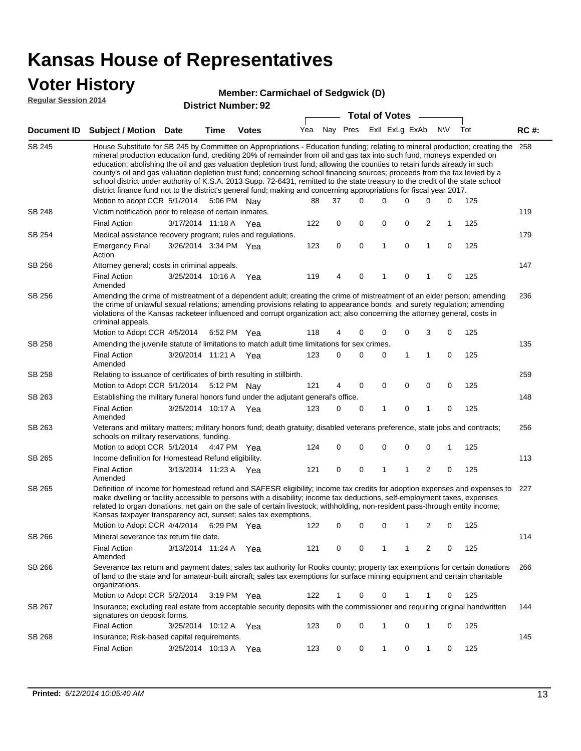#### **Voter History**

#### **Member: Carmichael of Sedgwick (D)**

**Regular Session 2014**

| Regular dession zute | <b>District Number: 92</b><br><b>Total of Votes</b>                                                                                                                                                                                                                                                                                                                                                                                                                                                                     |  |      |              |  |  |                             |  |  |  |         |     |
|----------------------|-------------------------------------------------------------------------------------------------------------------------------------------------------------------------------------------------------------------------------------------------------------------------------------------------------------------------------------------------------------------------------------------------------------------------------------------------------------------------------------------------------------------------|--|------|--------------|--|--|-----------------------------|--|--|--|---------|-----|
|                      | Document ID Subject / Motion Date                                                                                                                                                                                                                                                                                                                                                                                                                                                                                       |  | Time | <b>Votes</b> |  |  | Yea Nay Pres ExII ExLg ExAb |  |  |  | N\V Tot | RC# |
| SB 245               | House Substitute for SB 245 by Committee on Appropriations - Education funding; relating to mineral production; creating the 258<br>mineral production education fund, crediting 20% of remainder from oil and gas tax into such fund, moneys expended on<br>education; abolishing the oil and gas valuation depletion trust fund; allowing the counties to retain funds already in such<br>county's oil and ras valuation deplation trust fund: concerning school financing sources: proceeds from the tay levied by a |  |      |              |  |  |                             |  |  |  |         |     |

|               | county's oil and gas valuation depletion trust fund; concerning school financing sources; proceeds from the tax levied by a<br>school district under authority of K.S.A. 2013 Supp. 72-6431, remitted to the state treasury to the credit of the state school<br>district finance fund not to the district's general fund; making and concerning appropriations for fiscal year 2017.                                                   |                                                                                                                                                                                                                                                                                                                                                                                                                                                            |                       |     | 88  | 37          | 0        | $\Omega$     | $\Omega$     | $\Omega$       | 0            | 125 |     |
|---------------|-----------------------------------------------------------------------------------------------------------------------------------------------------------------------------------------------------------------------------------------------------------------------------------------------------------------------------------------------------------------------------------------------------------------------------------------|------------------------------------------------------------------------------------------------------------------------------------------------------------------------------------------------------------------------------------------------------------------------------------------------------------------------------------------------------------------------------------------------------------------------------------------------------------|-----------------------|-----|-----|-------------|----------|--------------|--------------|----------------|--------------|-----|-----|
| <b>SB 248</b> | Motion to adopt CCR 5/1/2014 5:06 PM Nay<br>Victim notification prior to release of certain inmates.                                                                                                                                                                                                                                                                                                                                    |                                                                                                                                                                                                                                                                                                                                                                                                                                                            |                       |     |     |             |          |              |              |                |              |     | 119 |
|               | <b>Final Action</b>                                                                                                                                                                                                                                                                                                                                                                                                                     |                                                                                                                                                                                                                                                                                                                                                                                                                                                            |                       |     | 122 | 0           | 0        | $\mathbf 0$  | $\mathbf 0$  | $\overline{2}$ | $\mathbf{1}$ | 125 |     |
|               |                                                                                                                                                                                                                                                                                                                                                                                                                                         | 3/17/2014 11:18 A                                                                                                                                                                                                                                                                                                                                                                                                                                          |                       | Yea |     |             |          |              |              |                |              |     |     |
| SB 254        | Medical assistance recovery program; rules and regulations.                                                                                                                                                                                                                                                                                                                                                                             |                                                                                                                                                                                                                                                                                                                                                                                                                                                            |                       |     |     |             |          |              |              |                |              |     | 179 |
|               | <b>Emergency Final</b><br>Action                                                                                                                                                                                                                                                                                                                                                                                                        |                                                                                                                                                                                                                                                                                                                                                                                                                                                            | 3/26/2014 3:34 PM Yea |     | 123 | $\mathbf 0$ | 0        | $\mathbf{1}$ | $\mathbf 0$  | $\mathbf{1}$   | $\mathbf 0$  | 125 |     |
| SB 256        | Attorney general; costs in criminal appeals.                                                                                                                                                                                                                                                                                                                                                                                            |                                                                                                                                                                                                                                                                                                                                                                                                                                                            |                       |     |     |             |          |              |              |                |              |     | 147 |
|               | <b>Final Action</b><br>Amended                                                                                                                                                                                                                                                                                                                                                                                                          | 3/25/2014 10:16 A                                                                                                                                                                                                                                                                                                                                                                                                                                          |                       | Yea | 119 | 4           | $\Omega$ | 1            | $\mathbf 0$  | $\mathbf 1$    | 0            | 125 |     |
| SB 256        | Amending the crime of mistreatment of a dependent adult; creating the crime of mistreatment of an elder person; amending<br>the crime of unlawful sexual relations; amending provisions relating to appearance bonds and surety regulation; amending<br>violations of the Kansas racketeer influenced and corrupt organization act; also concerning the attorney general, costs in<br>criminal appeals.<br>Motion to Adopt CCR 4/5/2014 |                                                                                                                                                                                                                                                                                                                                                                                                                                                            |                       |     |     |             |          |              |              |                |              |     | 236 |
|               |                                                                                                                                                                                                                                                                                                                                                                                                                                         |                                                                                                                                                                                                                                                                                                                                                                                                                                                            | 6:52 PM Yea           |     | 118 | 4           | $\Omega$ | $\Omega$     | 0            | 3              | $\mathbf 0$  | 125 |     |
| <b>SB 258</b> | Amending the juvenile statute of limitations to match adult time limitations for sex crimes.                                                                                                                                                                                                                                                                                                                                            |                                                                                                                                                                                                                                                                                                                                                                                                                                                            |                       |     |     |             |          |              |              |                |              |     | 135 |
|               | <b>Final Action</b><br>Amended                                                                                                                                                                                                                                                                                                                                                                                                          |                                                                                                                                                                                                                                                                                                                                                                                                                                                            | 3/20/2014 11:21 A Yea |     | 123 | $\Omega$    | $\Omega$ | $\Omega$     | $\mathbf{1}$ | $\overline{1}$ | $\mathbf 0$  | 125 |     |
| SB 258        | Relating to issuance of certificates of birth resulting in stillbirth.                                                                                                                                                                                                                                                                                                                                                                  |                                                                                                                                                                                                                                                                                                                                                                                                                                                            |                       |     |     |             |          |              |              |                |              |     | 259 |
|               | Motion to Adopt CCR 5/1/2014 5:12 PM Nay                                                                                                                                                                                                                                                                                                                                                                                                |                                                                                                                                                                                                                                                                                                                                                                                                                                                            |                       |     | 121 | 4           | 0        | $\mathbf 0$  | $\mathbf 0$  | $\mathbf 0$    | $\mathbf 0$  | 125 |     |
| SB 263        | Establishing the military funeral honors fund under the adjutant general's office.                                                                                                                                                                                                                                                                                                                                                      |                                                                                                                                                                                                                                                                                                                                                                                                                                                            |                       |     |     |             |          |              |              |                |              |     | 148 |
|               | <b>Final Action</b><br>Amended                                                                                                                                                                                                                                                                                                                                                                                                          |                                                                                                                                                                                                                                                                                                                                                                                                                                                            | 3/25/2014 10:17 A Yea |     | 123 | 0           | 0        | 1            | 0            | $\mathbf{1}$   | 0            | 125 |     |
| SB 263        | Veterans and military matters; military honors fund; death gratuity; disabled veterans preference, state jobs and contracts;<br>schools on military reservations, funding.                                                                                                                                                                                                                                                              |                                                                                                                                                                                                                                                                                                                                                                                                                                                            |                       |     |     |             |          |              |              |                |              | 256 |     |
|               | Motion to adopt CCR 5/1/2014 4:47 PM Yea                                                                                                                                                                                                                                                                                                                                                                                                |                                                                                                                                                                                                                                                                                                                                                                                                                                                            |                       |     | 124 | 0           | 0        | $\mathbf 0$  | $\mathbf 0$  | $\mathbf 0$    | 1            | 125 |     |
| SB 265        | Income definition for Homestead Refund eligibility.                                                                                                                                                                                                                                                                                                                                                                                     |                                                                                                                                                                                                                                                                                                                                                                                                                                                            |                       |     |     |             |          |              |              |                |              |     | 113 |
|               | <b>Final Action</b><br>Amended                                                                                                                                                                                                                                                                                                                                                                                                          |                                                                                                                                                                                                                                                                                                                                                                                                                                                            | 3/13/2014 11:23 A Yea |     | 121 | $\mathbf 0$ | 0        | 1            | 1            | $\overline{2}$ | 0            | 125 |     |
| SB 265        |                                                                                                                                                                                                                                                                                                                                                                                                                                         | Definition of income for homestead refund and SAFESR eligibility; income tax credits for adoption expenses and expenses to<br>make dwelling or facility accessible to persons with a disability; income tax deductions, self-employment taxes, expenses<br>related to organ donations, net gain on the sale of certain livestock; withholding, non-resident pass-through entity income;<br>Kansas taxpayer transparency act, sunset; sales tax exemptions. |                       |     |     |             |          |              |              |                |              |     |     |
|               | Motion to Adopt CCR 4/4/2014                                                                                                                                                                                                                                                                                                                                                                                                            |                                                                                                                                                                                                                                                                                                                                                                                                                                                            | 6:29 PM Yea           |     | 122 | 0           | $\Omega$ | $\Omega$     | 1            | $\overline{2}$ | $\mathbf 0$  | 125 |     |
| <b>SB 266</b> | Mineral severance tax return file date.                                                                                                                                                                                                                                                                                                                                                                                                 |                                                                                                                                                                                                                                                                                                                                                                                                                                                            |                       |     |     |             |          |              |              |                |              |     | 114 |
|               | <b>Final Action</b><br>Amended                                                                                                                                                                                                                                                                                                                                                                                                          | 3/13/2014 11:24 A                                                                                                                                                                                                                                                                                                                                                                                                                                          |                       | Yea | 121 | $\Omega$    | $\Omega$ | 1            | 1            | $\overline{2}$ | $\Omega$     | 125 |     |
| <b>SB 266</b> | Severance tax return and payment dates; sales tax authority for Rooks county; property tax exemptions for certain donations<br>of land to the state and for amateur-built aircraft; sales tax exemptions for surface mining equipment and certain charitable<br>organizations.                                                                                                                                                          |                                                                                                                                                                                                                                                                                                                                                                                                                                                            |                       |     |     |             |          |              |              |                |              |     | 266 |
|               | Motion to Adopt CCR 5/2/2014                                                                                                                                                                                                                                                                                                                                                                                                            |                                                                                                                                                                                                                                                                                                                                                                                                                                                            | 3:19 PM Yea           |     | 122 | 1           | $\Omega$ | $\Omega$     |              |                | 0            | 125 |     |
| <b>SB 267</b> | Insurance; excluding real estate from acceptable security deposits with the commissioner and requiring original handwritten<br>signatures on deposit forms.                                                                                                                                                                                                                                                                             |                                                                                                                                                                                                                                                                                                                                                                                                                                                            |                       |     |     |             |          |              |              |                |              |     | 144 |

3/25/2014 Final Action Yea 125 10:12 A 123 0 0 0 10 1

3/25/2014 Final Action Yea 125 10:13 A 123 0 0 0 10 1

Insurance; Risk-based capital requirements.

SB 268

145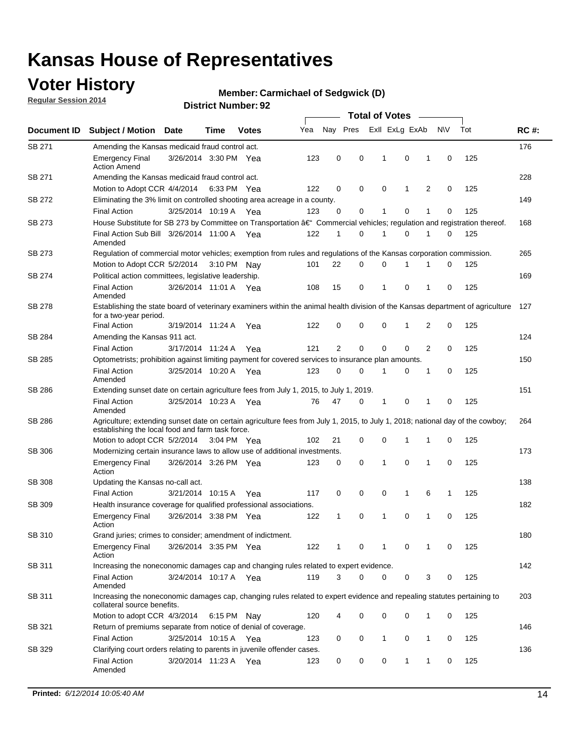### **Voter History**

**Regular Session 2014**

#### **Member: Carmichael of Sedgwick (D)**

|               |                                                                                                                                                                                    |                       |      |              |     | <b>Total of Votes</b> |             |                |              |   |             |     |             |  |
|---------------|------------------------------------------------------------------------------------------------------------------------------------------------------------------------------------|-----------------------|------|--------------|-----|-----------------------|-------------|----------------|--------------|---|-------------|-----|-------------|--|
| Document ID   | <b>Subject / Motion Date</b>                                                                                                                                                       |                       | Time | <b>Votes</b> | Yea | Nay Pres              |             | Exll ExLg ExAb |              |   | N\V         | Tot | <b>RC#:</b> |  |
| SB 271        | Amending the Kansas medicaid fraud control act.                                                                                                                                    |                       |      |              |     |                       |             |                |              |   |             |     | 176         |  |
|               | <b>Emergency Final</b><br><b>Action Amend</b>                                                                                                                                      | 3/26/2014 3:30 PM Yea |      |              | 123 | 0                     | 0           | 1              | 0            | 1 | $\mathbf 0$ | 125 |             |  |
| SB 271        | Amending the Kansas medicaid fraud control act.                                                                                                                                    |                       |      |              |     |                       |             |                |              |   |             |     | 228         |  |
|               | Motion to Adopt CCR 4/4/2014 6:33 PM Yea                                                                                                                                           |                       |      |              | 122 | 0                     | 0           | 0              | 1            | 2 | 0           | 125 |             |  |
| SB 272        | Eliminating the 3% limit on controlled shooting area acreage in a county.                                                                                                          |                       |      |              |     |                       |             |                |              |   |             |     | 149         |  |
|               | <b>Final Action</b>                                                                                                                                                                | 3/25/2014 10:19 A Yea |      |              | 123 | 0                     | 0           | 1              | 0            | 1 | $\mathbf 0$ | 125 |             |  |
| SB 273        | House Substitute for SB 273 by Committee on Transportation †Commercial vehicles; regulation and registration thereof.                                                              |                       |      |              |     |                       |             |                |              |   |             |     | 168         |  |
|               | Final Action Sub Bill 3/26/2014 11:00 A Yea<br>Amended                                                                                                                             |                       |      |              | 122 | 1                     | 0           | 1              | 0            | 1 | 0           | 125 |             |  |
| SB 273        | Regulation of commercial motor vehicles; exemption from rules and regulations of the Kansas corporation commission.                                                                |                       |      |              |     |                       |             |                |              |   |             |     | 265         |  |
|               | Motion to Adopt CCR 5/2/2014 3:10 PM Nay                                                                                                                                           |                       |      |              | 101 | 22                    | 0           | 0              | 1            | 1 | 0           | 125 |             |  |
| SB 274        | Political action committees, legislative leadership.                                                                                                                               |                       |      |              |     |                       |             |                |              |   |             |     | 169         |  |
|               | <b>Final Action</b><br>Amended                                                                                                                                                     | 3/26/2014 11:01 A Yea |      |              | 108 | 15                    | 0           | -1             | 0            | 1 | 0           | 125 |             |  |
| <b>SB 278</b> | Establishing the state board of veterinary examiners within the animal health division of the Kansas department of agriculture<br>for a two-year period.                           |                       |      |              |     |                       |             |                |              |   |             |     | 127         |  |
|               | <b>Final Action</b>                                                                                                                                                                | 3/19/2014 11:24 A     |      | Yea          | 122 | 0                     | 0           | 0              | 1            | 2 | 0           | 125 |             |  |
| SB 284        | Amending the Kansas 911 act.                                                                                                                                                       |                       |      |              |     |                       |             |                |              |   |             |     | 124         |  |
|               | <b>Final Action</b>                                                                                                                                                                | 3/17/2014 11:24 A     |      | Yea          | 121 | $\overline{2}$        | $\mathbf 0$ | $\mathbf 0$    | $\mathbf 0$  | 2 | 0           | 125 |             |  |
| SB 285        | Optometrists; prohibition against limiting payment for covered services to insurance plan amounts.                                                                                 |                       |      |              |     |                       |             |                |              |   |             |     | 150         |  |
|               | <b>Final Action</b><br>Amended                                                                                                                                                     | 3/25/2014 10:20 A     |      | Yea          | 123 | 0                     | 0           | $\mathbf{1}$   | 0            | 1 | 0           | 125 |             |  |
| SB 286        | Extending sunset date on certain agriculture fees from July 1, 2015, to July 1, 2019.                                                                                              |                       |      |              |     |                       |             |                |              |   |             |     | 151         |  |
|               | <b>Final Action</b><br>Amended                                                                                                                                                     | 3/25/2014 10:23 A Yea |      |              | 76  | 47                    | 0           | $\mathbf{1}$   | 0            | 1 | 0           | 125 |             |  |
| SB 286        | Agriculture; extending sunset date on certain agriculture fees from July 1, 2015, to July 1, 2018; national day of the cowboy;<br>establishing the local food and farm task force. |                       |      |              |     |                       |             |                |              |   |             |     | 264         |  |
|               | Motion to adopt CCR 5/2/2014 3:04 PM Yea                                                                                                                                           |                       |      |              | 102 | 21                    | 0           | 0              | 1            | 1 | 0           | 125 |             |  |
| SB 306        | Modernizing certain insurance laws to allow use of additional investments.                                                                                                         |                       |      |              |     |                       |             |                |              |   |             |     | 173         |  |
|               | <b>Emergency Final</b>                                                                                                                                                             | 3/26/2014 3:26 PM Yea |      |              | 123 | 0                     | 0           | 1              | $\mathbf 0$  | 1 | 0           | 125 |             |  |
|               | Action                                                                                                                                                                             |                       |      |              |     |                       |             |                |              |   |             |     |             |  |
| <b>SB 308</b> | Updating the Kansas no-call act.                                                                                                                                                   |                       |      |              |     |                       |             |                |              |   |             |     | 138         |  |
|               | <b>Final Action</b>                                                                                                                                                                | 3/21/2014 10:15 A     |      | Yea          | 117 | 0                     | 0           | 0              | $\mathbf{1}$ | 6 | 1           | 125 |             |  |
| SB 309        | Health insurance coverage for qualified professional associations.                                                                                                                 |                       |      |              |     |                       |             |                |              |   |             |     | 182         |  |
|               | <b>Emergency Final</b><br>Action                                                                                                                                                   | 3/26/2014 3:38 PM Yea |      |              | 122 | 1                     | 0           | 1              | 0            | 1 | 0           | 125 |             |  |
| SB 310        | Grand juries; crimes to consider; amendment of indictment.                                                                                                                         |                       |      |              |     |                       |             |                |              |   |             |     | 180         |  |
|               | <b>Emergency Final</b><br>Action                                                                                                                                                   | 3/26/2014 3:35 PM Yea |      |              | 122 | 1                     | 0           | 1              | 0            | 1 | 0           | 125 |             |  |
| SB 311        | Increasing the noneconomic damages cap and changing rules related to expert evidence.                                                                                              |                       |      |              |     |                       |             |                |              |   |             |     | 142         |  |
|               | <b>Final Action</b><br>Amended                                                                                                                                                     | 3/24/2014 10:17 A Yea |      |              | 119 | 3                     | $\Omega$    | 0              | 0            | 3 | 0           | 125 |             |  |
| SB 311        | Increasing the noneconomic damages cap, changing rules related to expert evidence and repealing statutes pertaining to<br>collateral source benefits.                              |                       |      |              |     |                       |             |                |              |   |             |     | 203         |  |
|               | Motion to adopt CCR 4/3/2014 6:15 PM Nay                                                                                                                                           |                       |      |              | 120 | 4                     | 0           | 0              | 0            | 1 | 0           | 125 |             |  |
| SB 321        | Return of premiums separate from notice of denial of coverage.                                                                                                                     |                       |      |              |     |                       |             |                |              |   |             |     | 146         |  |
|               | <b>Final Action</b>                                                                                                                                                                | 3/25/2014 10:15 A Yea |      |              | 123 | 0                     | 0           | 1              | 0            | 1 | 0           | 125 |             |  |
| SB 329        | Clarifying court orders relating to parents in juvenile offender cases.<br><b>Final Action</b>                                                                                     | 3/20/2014 11:23 A Yea |      |              | 123 | 0                     | 0           | 0              | 1            | 1 | 0           | 125 | 136         |  |
|               | Amended                                                                                                                                                                            |                       |      |              |     |                       |             |                |              |   |             |     |             |  |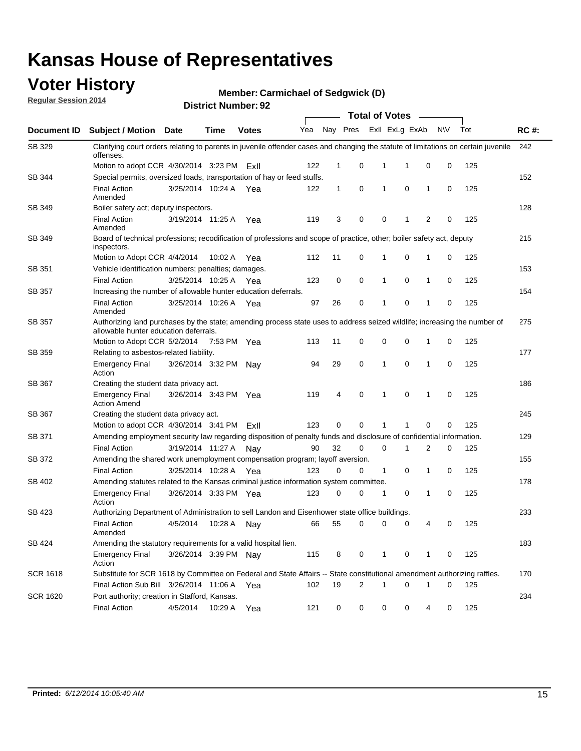### **Voter History**

**Regular Session 2014**

#### **Member: Carmichael of Sedgwick (D)**

|                    | DISTRICT MAILINGL. 32<br><b>Total of Votes</b>                                                                                                                     |                       |             |              |     |              |             |  |              |                             |             |     |             |  |  |  |  |  |  |  |  |  |
|--------------------|--------------------------------------------------------------------------------------------------------------------------------------------------------------------|-----------------------|-------------|--------------|-----|--------------|-------------|--|--------------|-----------------------------|-------------|-----|-------------|--|--|--|--|--|--|--|--|--|
| <b>Document ID</b> | <b>Subject / Motion Date</b>                                                                                                                                       |                       | Time        | <b>Votes</b> | Yea |              | Nay Pres    |  |              | Exll ExLg ExAb              | <b>NV</b>   | Tot | <b>RC#:</b> |  |  |  |  |  |  |  |  |  |
| SB 329             | Clarifying court orders relating to parents in juvenile offender cases and changing the statute of limitations on certain juvenile<br>offenses.                    |                       |             |              |     |              |             |  |              |                             |             |     | 242         |  |  |  |  |  |  |  |  |  |
|                    | Motion to adopt CCR 4/30/2014 3:23 PM                                                                                                                              |                       |             | ExII         | 122 | 1            | 0           |  | $\mathbf{1}$ | 0<br>1                      | 0           | 125 |             |  |  |  |  |  |  |  |  |  |
| SB 344             | Special permits, oversized loads, transportation of hay or feed stuffs.                                                                                            |                       |             |              |     |              |             |  |              |                             |             |     | 152         |  |  |  |  |  |  |  |  |  |
|                    | <b>Final Action</b><br>Amended                                                                                                                                     | 3/25/2014 10:24 A     |             | Yea          | 122 | $\mathbf{1}$ | $\mathbf 0$ |  | 1            | $\mathbf 0$<br>1            | 0           | 125 |             |  |  |  |  |  |  |  |  |  |
| SB 349             | Boiler safety act; deputy inspectors.                                                                                                                              |                       |             |              |     |              |             |  |              |                             |             |     | 128         |  |  |  |  |  |  |  |  |  |
|                    | <b>Final Action</b><br>Amended                                                                                                                                     | 3/19/2014 11:25 A     |             | Yea          | 119 | 3            | 0           |  | $\mathbf 0$  | $\overline{2}$<br>1         | 0           | 125 |             |  |  |  |  |  |  |  |  |  |
| <b>SB 349</b>      | Board of technical professions; recodification of professions and scope of practice, other; boiler safety act, deputy<br>inspectors.                               |                       |             |              |     |              |             |  |              |                             |             |     | 215         |  |  |  |  |  |  |  |  |  |
|                    | Motion to Adopt CCR 4/4/2014                                                                                                                                       |                       | 10:02 A     | Yea          | 112 | 11           | 0           |  | 1            | $\mathbf 0$<br>1            | 0           | 125 |             |  |  |  |  |  |  |  |  |  |
| SB 351             | Vehicle identification numbers; penalties; damages.                                                                                                                |                       |             |              |     |              |             |  |              |                             |             |     | 153         |  |  |  |  |  |  |  |  |  |
|                    | <b>Final Action</b>                                                                                                                                                | 3/25/2014 10:25 A     |             | Yea          | 123 | 0            | 0           |  | $\mathbf{1}$ | 0<br>$\mathbf{1}$           | 0           | 125 |             |  |  |  |  |  |  |  |  |  |
| SB 357             | Increasing the number of allowable hunter education deferrals.                                                                                                     |                       |             |              |     |              |             |  |              |                             |             |     | 154         |  |  |  |  |  |  |  |  |  |
|                    | <b>Final Action</b><br>Amended                                                                                                                                     | 3/25/2014 10:26 A     |             | Yea          | 97  | 26           | 0           |  | 1            | $\mathbf 0$<br>$\mathbf{1}$ | $\mathbf 0$ | 125 |             |  |  |  |  |  |  |  |  |  |
| SB 357             | Authorizing land purchases by the state; amending process state uses to address seized wildlife; increasing the number of<br>allowable hunter education deferrals. |                       |             |              |     |              |             |  |              |                             |             |     | 275         |  |  |  |  |  |  |  |  |  |
|                    | Motion to Adopt CCR 5/2/2014                                                                                                                                       |                       | 7:53 PM Yea |              | 113 | 11           | 0           |  | 0            | $\mathbf 0$<br>1            | 0           | 125 |             |  |  |  |  |  |  |  |  |  |
| SB 359             | Relating to asbestos-related liability.                                                                                                                            |                       |             |              |     |              |             |  |              |                             |             | 177 |             |  |  |  |  |  |  |  |  |  |
|                    | <b>Emergency Final</b><br>Action                                                                                                                                   | 3/26/2014 3:32 PM Nay |             |              | 94  | 29           | 0           |  | 1            | $\mathbf 0$<br>1            | 0           | 125 |             |  |  |  |  |  |  |  |  |  |
| <b>SB 367</b>      | Creating the student data privacy act.                                                                                                                             |                       |             |              |     |              |             |  |              |                             |             |     | 186         |  |  |  |  |  |  |  |  |  |
|                    | <b>Emergency Final</b><br><b>Action Amend</b>                                                                                                                      | 3/26/2014 3:43 PM Yea |             |              | 119 | 4            | $\mathbf 0$ |  | $\mathbf{1}$ | $\mathbf 0$<br>$\mathbf{1}$ | 0           | 125 |             |  |  |  |  |  |  |  |  |  |
| SB 367             | Creating the student data privacy act.                                                                                                                             |                       |             |              |     |              |             |  |              |                             |             |     | 245         |  |  |  |  |  |  |  |  |  |
|                    | Motion to adopt CCR 4/30/2014 3:41 PM ExII                                                                                                                         |                       |             |              | 123 | 0            | 0           |  | 1            | $\Omega$                    | $\Omega$    | 125 |             |  |  |  |  |  |  |  |  |  |
| SB 371             | Amending employment security law regarding disposition of penalty funds and disclosure of confidential information.                                                |                       |             |              |     |              |             |  |              |                             |             |     | 129         |  |  |  |  |  |  |  |  |  |
|                    | <b>Final Action</b>                                                                                                                                                | 3/19/2014 11:27 A     |             | Nav          | 90  | 32           | 0           |  | 0            | 2<br>1                      | 0           | 125 |             |  |  |  |  |  |  |  |  |  |
| SB 372             | Amending the shared work unemployment compensation program; layoff aversion.                                                                                       |                       |             |              |     |              |             |  |              |                             |             |     | 155         |  |  |  |  |  |  |  |  |  |
|                    | <b>Final Action</b>                                                                                                                                                | 3/25/2014 10:28 A     |             | Yea          | 123 | 0            | $\mathbf 0$ |  | $\mathbf{1}$ | 0<br>$\mathbf{1}$           | 0           | 125 |             |  |  |  |  |  |  |  |  |  |
| SB 402             | Amending statutes related to the Kansas criminal justice information system committee.                                                                             |                       |             |              |     |              |             |  |              |                             |             |     | 178         |  |  |  |  |  |  |  |  |  |
|                    | <b>Emergency Final</b><br>Action                                                                                                                                   | 3/26/2014 3:33 PM Yea |             |              | 123 | 0            | 0           |  | 1            | 0<br>$\mathbf{1}$           | 0           | 125 |             |  |  |  |  |  |  |  |  |  |
| SB 423             | Authorizing Department of Administration to sell Landon and Eisenhower state office buildings.                                                                     |                       |             |              |     |              |             |  |              |                             |             |     | 233         |  |  |  |  |  |  |  |  |  |
|                    | <b>Final Action</b><br>Amended                                                                                                                                     | 4/5/2014              | 10:28 A     | Nay          | 66  | 55           | 0           |  | 0            | 0                           | 4<br>0      | 125 |             |  |  |  |  |  |  |  |  |  |
| SB 424             | Amending the statutory requirements for a valid hospital lien.                                                                                                     |                       |             |              |     |              |             |  |              |                             |             |     | 183         |  |  |  |  |  |  |  |  |  |
|                    | <b>Emergency Final</b><br>Action                                                                                                                                   | 3/26/2014 3:39 PM Nav |             |              | 115 | 8            | 0           |  | $\mathbf{1}$ | 0<br>$\mathbf{1}$           | 0           | 125 |             |  |  |  |  |  |  |  |  |  |
| <b>SCR 1618</b>    | Substitute for SCR 1618 by Committee on Federal and State Affairs -- State constitutional amendment authorizing raffles.                                           |                       |             |              |     |              |             |  |              |                             |             |     | 170         |  |  |  |  |  |  |  |  |  |
|                    | Final Action Sub Bill 3/26/2014 11:06 A Yea<br>19<br>2<br>0<br>102<br>$\mathbf{1}$<br>0<br>125<br>1                                                                |                       |             |              |     |              |             |  |              |                             |             |     |             |  |  |  |  |  |  |  |  |  |
| <b>SCR 1620</b>    | Port authority; creation in Stafford, Kansas.                                                                                                                      |                       |             |              |     |              |             |  |              |                             |             |     | 234         |  |  |  |  |  |  |  |  |  |
|                    | <b>Final Action</b>                                                                                                                                                | 4/5/2014              |             | 10:29 A Yea  | 121 | 0            | 0           |  | 0            | 0                           | 4<br>0      | 125 |             |  |  |  |  |  |  |  |  |  |